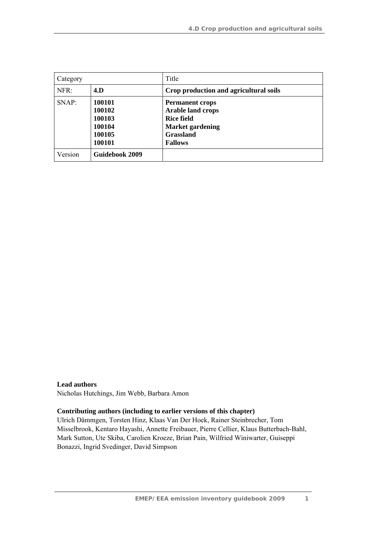| Category |                                                          | Title                                                                                                                                    |
|----------|----------------------------------------------------------|------------------------------------------------------------------------------------------------------------------------------------------|
| NFR:     | 4.D                                                      | Crop production and agricultural soils                                                                                                   |
| SNAP:    | 100101<br>100102<br>100103<br>100104<br>100105<br>100101 | <b>Permanent crops</b><br><b>Arable land crops</b><br><b>Rice field</b><br><b>Market gardening</b><br><b>Grassland</b><br><b>Fallows</b> |
| Version  | Guidebook 2009                                           |                                                                                                                                          |

#### **Lead authors**

Nicholas Hutchings, Jim Webb, Barbara Amon

#### **Contributing authors (including to earlier versions of this chapter)**

Ulrich Dämmgen, Torsten Hinz, Klaas Van Der Hoek, Rainer Steinbrecher, Tom Misselbrook, Kentaro Hayashi, Annette Freibauer, Pierre Cellier, Klaus Butterbach-Bahl, Mark Sutton, Ute Skiba, Carolien Kroeze, Brian Pain, Wilfried Winiwarter, Guiseppi Bonazzi, Ingrid Svedinger, David Simpson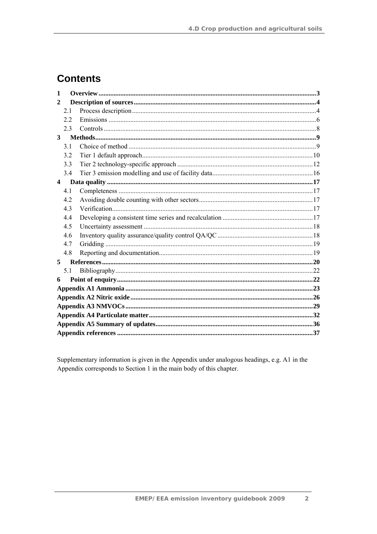# **Contents**

| $\mathbf{1}$            |                |  |  |  |  |  |
|-------------------------|----------------|--|--|--|--|--|
| 2                       |                |  |  |  |  |  |
|                         | 2.1            |  |  |  |  |  |
|                         | 22             |  |  |  |  |  |
|                         | 23             |  |  |  |  |  |
| 3                       |                |  |  |  |  |  |
|                         | 31             |  |  |  |  |  |
|                         | 3.2            |  |  |  |  |  |
|                         | 3.3            |  |  |  |  |  |
|                         | 3.4            |  |  |  |  |  |
| $\overline{\mathbf{4}}$ |                |  |  |  |  |  |
|                         | 4.1            |  |  |  |  |  |
|                         | 42             |  |  |  |  |  |
|                         | 4.3            |  |  |  |  |  |
|                         | 4.4            |  |  |  |  |  |
|                         | 4.5            |  |  |  |  |  |
|                         | 4.6            |  |  |  |  |  |
|                         | 4.7            |  |  |  |  |  |
|                         | 4.8            |  |  |  |  |  |
| 5                       |                |  |  |  |  |  |
|                         | 5 <sub>1</sub> |  |  |  |  |  |
| 6                       |                |  |  |  |  |  |
|                         |                |  |  |  |  |  |
|                         |                |  |  |  |  |  |
|                         |                |  |  |  |  |  |
|                         |                |  |  |  |  |  |
|                         |                |  |  |  |  |  |
|                         |                |  |  |  |  |  |

Supplementary information is given in the Appendix under analogous headings, e.g. A1 in the Appendix corresponds to Section 1 in the main body of this chapter.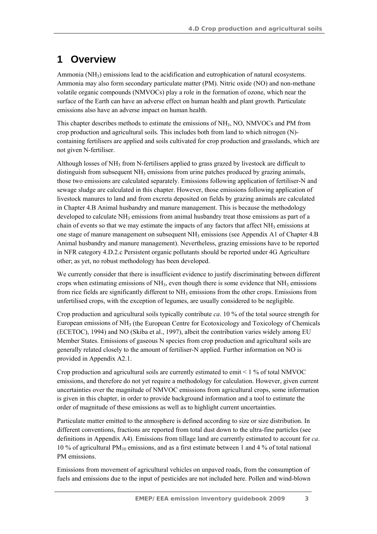# **1 Overview**

Ammonia  $(NH_3)$  emissions lead to the acidification and eutrophication of natural ecosystems. Ammonia may also form secondary particulate matter (PM). Nitric oxide (NO) and non-methane volatile organic compounds (NMVOCs) play a role in the formation of ozone, which near the surface of the Earth can have an adverse effect on human health and plant growth. Particulate emissions also have an adverse impact on human health.

This chapter describes methods to estimate the emissions of NH<sub>3</sub>, NO, NMVOCs and PM from crop production and agricultural soils. This includes both from land to which nitrogen (N) containing fertilisers are applied and soils cultivated for crop production and grasslands, which are not given N-fertiliser.

Although losses of  $NH_3$  from N-fertilisers applied to grass grazed by livestock are difficult to distinguish from subsequent  $NH<sub>3</sub>$  emissions from urine patches produced by grazing animals, those two emissions are calculated separately. Emissions following application of fertiliser-N and sewage sludge are calculated in this chapter. However, those emissions following application of livestock manures to land and from excreta deposited on fields by grazing animals are calculated in Chapter 4.B Animal husbandry and manure management. This is because the methodology developed to calculate  $NH_3$  emissions from animal husbandry treat those emissions as part of a chain of events so that we may estimate the impacts of any factors that affect  $NH<sub>3</sub>$  emissions at one stage of manure management on subsequent NH3 emissions (see Appendix A1 of Chapter 4.B Animal husbandry and manure management). Nevertheless, grazing emissions have to be reported in NFR category 4.D.2.c Persistent organic pollutants should be reported under 4G Agriculture other; as yet, no robust methodology has been developed.

We currently consider that there is insufficient evidence to justify discriminating between different crops when estimating emissions of  $NH_3$ , even though there is some evidence that  $NH_3$  emissions from rice fields are significantly different to  $NH_3$  emissions from the other crops. Emissions from unfertilised crops, with the exception of legumes, are usually considered to be negligible.

Crop production and agricultural soils typically contribute *ca*. 10 % of the total source strength for European emissions of NH3 (the European Centre for Ecotoxicology and Toxicology of Chemicals (ECETOC), 1994) and NO (Skiba et al., 1997), albeit the contribution varies widely among EU Member States. Emissions of gaseous N species from crop production and agricultural soils are generally related closely to the amount of fertiliser-N applied. Further information on NO is provided in Appendix A2.1.

Crop production and agricultural soils are currently estimated to emit  $\leq 1\%$  of total NMVOC emissions, and therefore do not yet require a methodology for calculation. However, given current uncertainties over the magnitude of NMVOC emissions from agricultural crops, some information is given in this chapter, in order to provide background information and a tool to estimate the order of magnitude of these emissions as well as to highlight current uncertainties.

Particulate matter emitted to the atmosphere is defined according to size or size distribution. In different conventions, fractions are reported from total dust down to the ultra-fine particles (see definitions in Appendix A4). Emissions from tillage land are currently estimated to account for *ca*. 10 % of agricultural PM10 emissions, and as a first estimate between 1 and 4 % of total national PM emissions.

Emissions from movement of agricultural vehicles on unpaved roads, from the consumption of fuels and emissions due to the input of pesticides are not included here. Pollen and wind-blown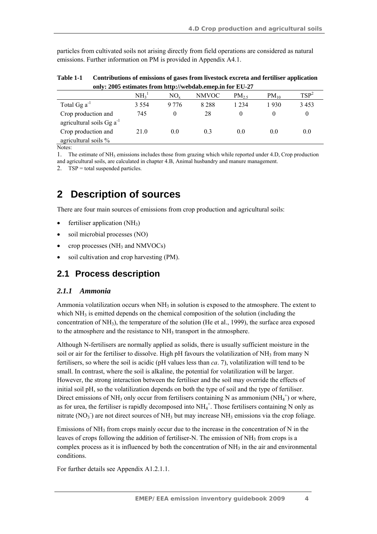particles from cultivated soils not arising directly from field operations are considered as natural emissions. Further information on PM is provided in Appendix A4.1.

| Table 1-1 | Contributions of emissions of gases from livestock excreta and fertiliser application |
|-----------|---------------------------------------------------------------------------------------|
|           | only: 2005 estimates from http://webdab.emep.in for EU-27                             |

|                                | NH <sub>3</sub> <sup>1</sup> | NO.     | <b>NMVOC</b> | $PM_{25}$ | $PM_{10}$ | TSP <sup>2</sup> |
|--------------------------------|------------------------------|---------|--------------|-----------|-----------|------------------|
| Total Gg $a^{-1}$              | 3 5 5 4                      | 9 7 7 6 | 8 2 8 8      | 1 2 3 4   | 1930      | 3453             |
| Crop production and            | 745                          |         | 28           | $\theta$  |           |                  |
| agricultural soils $Gg a^{-1}$ |                              |         |              |           |           |                  |
| Crop production and            | 21.0                         | 0.0     | 0.3          | 0.0       | 0.0       | 0.0              |
| agricultural soils %           |                              |         |              |           |           |                  |

Notes:

1. The estimate of NH3 emissions includes those from grazing which while reported under 4.D, Crop production and agricultural soils, are calculated in chapter 4.B, Animal husbandry and manure management.

2. TSP = total suspended particles.

## **2 Description of sources**

There are four main sources of emissions from crop production and agricultural soils:

- fertiliser application  $(NH_3)$
- soil microbial processes (NO)
- crop processes  $(NH<sub>3</sub>$  and NMVOCs)
- soil cultivation and crop harvesting (PM).

### **2.1 Process description**

#### *2.1.1 Ammonia*

Ammonia volatilization occurs when  $NH<sub>3</sub>$  in solution is exposed to the atmosphere. The extent to which  $NH<sub>3</sub>$  is emitted depends on the chemical composition of the solution (including the concentration of NH3), the temperature of the solution (He et al., 1999), the surface area exposed to the atmosphere and the resistance to  $NH<sub>3</sub>$  transport in the atmosphere.

Although N-fertilisers are normally applied as solids, there is usually sufficient moisture in the soil or air for the fertiliser to dissolve. High pH favours the volatilization of  $NH<sub>3</sub>$  from many N fertilisers, so where the soil is acidic (pH values less than *ca*. 7), volatilization will tend to be small. In contrast, where the soil is alkaline, the potential for volatilization will be larger. However, the strong interaction between the fertiliser and the soil may override the effects of initial soil pH, so the volatilization depends on both the type of soil and the type of fertiliser. Direct emissions of NH<sub>3</sub> only occur from fertilisers containing N as ammonium (NH<sub>4</sub><sup>+</sup>) or where, as for urea, the fertiliser is rapidly decomposed into  $NH_4^+$ . Those fertilisers containing N only as nitrate  $(NO<sub>3</sub>)$  are not direct sources of NH<sub>3</sub> but may increase NH<sub>3</sub> emissions via the crop foliage.

Emissions of  $NH_3$  from crops mainly occur due to the increase in the concentration of N in the leaves of crops following the addition of fertiliser-N. The emission of  $NH<sub>3</sub>$  from crops is a complex process as it is influenced by both the concentration of  $NH<sub>3</sub>$  in the air and environmental conditions.

For further details see Appendix A1.2.1.1.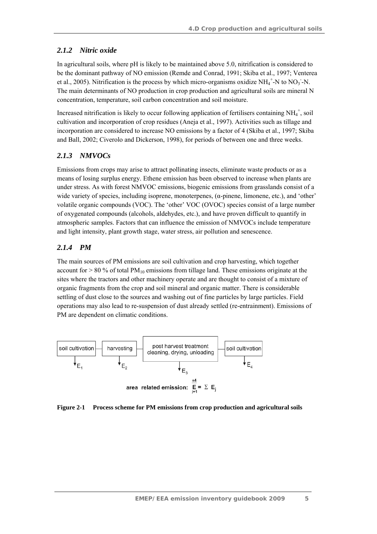### *2.1.2 Nitric oxide*

In agricultural soils, where pH is likely to be maintained above 5.0, nitrification is considered to be the dominant pathway of NO emission (Remde and Conrad, 1991; Skiba et al., 1997; Venterea et al., 2005). Nitrification is the process by which micro-organisms oxidize  $NH_4^+$ -N to  $NO_3^-$ -N. The main determinants of NO production in crop production and agricultural soils are mineral N concentration, temperature, soil carbon concentration and soil moisture.

Increased nitrification is likely to occur following application of fertilisers containing NH<sub>4</sub><sup>+</sup>, soil cultivation and incorporation of crop residues (Aneja et al., 1997). Activities such as tillage and incorporation are considered to increase NO emissions by a factor of 4 (Skiba et al., 1997; Skiba and Ball, 2002; Civerolo and Dickerson, 1998), for periods of between one and three weeks.

### *2.1.3 NMVOCs*

Emissions from crops may arise to attract pollinating insects, eliminate waste products or as a means of losing surplus energy. Ethene emission has been observed to increase when plants are under stress. As with forest NMVOC emissions, biogenic emissions from grasslands consist of a wide variety of species, including isoprene, monoterpenes,  $(\alpha$ -pinene, limonene, etc.), and 'other' volatile organic compounds (VOC). The 'other' VOC (OVOC) species consist of a large number of oxygenated compounds (alcohols, aldehydes, etc.), and have proven difficult to quantify in atmospheric samples. Factors that can influence the emission of NMVOCs include temperature and light intensity, plant growth stage, water stress, air pollution and senescence.

### *2.1.4 PM*

The main sources of PM emissions are soil cultivation and crop harvesting, which together account for  $> 80\%$  of total PM<sub>10</sub> emissions from tillage land. These emissions originate at the sites where the tractors and other machinery operate and are thought to consist of a mixture of organic fragments from the crop and soil mineral and organic matter. There is considerable settling of dust close to the sources and washing out of fine particles by large particles. Field operations may also lead to re-suspension of dust already settled (re-entrainment). Emissions of PM are dependent on climatic conditions.



**Figure 2-1 Process scheme for PM emissions from crop production and agricultural soils**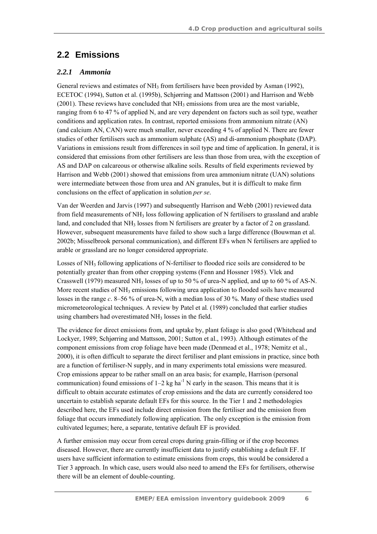## **2.2 Emissions**

#### *2.2.1 Ammonia*

General reviews and estimates of  $NH_3$  from fertilisers have been provided by Asman (1992), ECETOC (1994), Sutton et al. (1995b), Schjørring and Mattsson (2001) and Harrison and Webb  $(2001)$ . These reviews have concluded that  $NH<sub>3</sub>$  emissions from urea are the most variable, ranging from 6 to 47 % of applied N, and are very dependent on factors such as soil type, weather conditions and application rates. In contrast, reported emissions from ammonium nitrate (AN) (and calcium AN, CAN) were much smaller, never exceeding 4 % of applied N. There are fewer studies of other fertilisers such as ammonium sulphate (AS) and di-ammonium phosphate (DAP). Variations in emissions result from differences in soil type and time of application. In general, it is considered that emissions from other fertilisers are less than those from urea, with the exception of AS and DAP on calcareous or otherwise alkaline soils. Results of field experiments reviewed by Harrison and Webb (2001) showed that emissions from urea ammonium nitrate (UAN) solutions were intermediate between those from urea and AN granules, but it is difficult to make firm conclusions on the effect of application in solution *per se*.

Van der Weerden and Jarvis (1997) and subsequently Harrison and Webb (2001) reviewed data from field measurements of  $NH<sub>3</sub>$  loss following application of N fertilisers to grassland and arable land, and concluded that  $NH_3$  losses from N fertilisers are greater by a factor of 2 on grassland. However, subsequent measurements have failed to show such a large difference (Bouwman et al. 2002b; Misselbrook personal communication), and different EFs when N fertilisers are applied to arable or grassland are no longer considered appropriate.

Losses of NH<sub>3</sub> following applications of N-fertiliser to flooded rice soils are considered to be potentially greater than from other cropping systems (Fenn and Hossner 1985). Vlek and Crasswell (1979) measured NH<sub>3</sub> losses of up to 50 % of urea-N applied, and up to 60 % of AS-N. More recent studies of  $NH_3$  emissions following urea application to flooded soils have measured losses in the range *c*. 8–56 % of urea-N, with a median loss of 30 %. Many of these studies used micrometeorological techniques. A review by Patel et al*.* (1989) concluded that earlier studies using chambers had overestimated NH<sub>3</sub> losses in the field.

The evidence for direct emissions from, and uptake by, plant foliage is also good (Whitehead and Lockyer, 1989; Schjørring and Mattsson, 2001; Sutton et al., 1993). Although estimates of the component emissions from crop foliage have been made (Denmead et al., 1978; Nemitz et al., 2000), it is often difficult to separate the direct fertiliser and plant emissions in practice, since both are a function of fertiliser-N supply, and in many experiments total emissions were measured. Crop emissions appear to be rather small on an area basis; for example, Harrison (personal communication) found emissions of  $1-2$  kg ha<sup>-1</sup> N early in the season. This means that it is difficult to obtain accurate estimates of crop emissions and the data are currently considered too uncertain to establish separate default EFs for this source. In the Tier 1 and 2 methodologies described here, the EFs used include direct emission from the fertiliser and the emission from foliage that occurs immediately following application. The only exception is the emission from cultivated legumes; here, a separate, tentative default EF is provided.

A further emission may occur from cereal crops during grain-filling or if the crop becomes diseased. However, there are currently insufficient data to justify establishing a default EF. If users have sufficient information to estimate emissions from crops, this would be considered a Tier 3 approach. In which case, users would also need to amend the EFs for fertilisers, otherwise there will be an element of double-counting.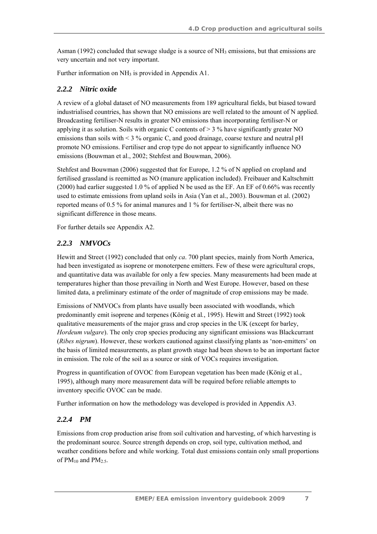Asman (1992) concluded that sewage sludge is a source of NH<sub>3</sub> emissions, but that emissions are very uncertain and not very important.

Further information on NH<sub>3</sub> is provided in Appendix A1.

### *2.2.2 Nitric oxide*

A review of a global dataset of NO measurements from 189 agricultural fields, but biased toward industrialised countries, has shown that NO emissions are well related to the amount of N applied. Broadcasting fertiliser-N results in greater NO emissions than incorporating fertiliser-N or applying it as solution. Soils with organic C contents of  $>$  3 % have significantly greater NO emissions than soils with < 3 % organic C, and good drainage, coarse texture and neutral pH promote NO emissions. Fertiliser and crop type do not appear to significantly influence NO emissions (Bouwman et al., 2002; Stehfest and Bouwman, 2006).

Stehfest and Bouwman (2006) suggested that for Europe, 1.2 % of N applied on cropland and fertilised grassland is reemitted as NO (manure application included). Freibauer and Kaltschmitt (2000) had earlier suggested 1.0 % of applied N be used as the EF. An EF of 0.66% was recently used to estimate emissions from upland soils in Asia (Yan et al., 2003). Bouwman et al. (2002) reported means of 0.5 % for animal manures and 1 % for fertiliser-N, albeit there was no significant difference in those means.

For further details see Appendix A2.

### *2.2.3 NMVOCs*

Hewitt and Street (1992) concluded that only *ca*. 700 plant species, mainly from North America, had been investigated as isoprene or monoterpene emitters. Few of these were agricultural crops, and quantitative data was available for only a few species. Many measurements had been made at temperatures higher than those prevailing in North and West Europe. However, based on these limited data, a preliminary estimate of the order of magnitude of crop emissions may be made.

Emissions of NMVOCs from plants have usually been associated with woodlands, which predominantly emit isoprene and terpenes (König et al*.*, 1995). Hewitt and Street (1992) took qualitative measurements of the major grass and crop species in the UK (except for barley, *Hordeum vulgare*). The only crop species producing any significant emissions was Blackcurrant (*Ribes nigrum*). However, these workers cautioned against classifying plants as 'non-emitters' on the basis of limited measurements, as plant growth stage had been shown to be an important factor in emission. The role of the soil as a source or sink of VOCs requires investigation.

Progress in quantification of OVOC from European vegetation has been made (König et al*.*, 1995), although many more measurement data will be required before reliable attempts to inventory specific OVOC can be made.

Further information on how the methodology was developed is provided in Appendix A3.

### *2.2.4 PM*

Emissions from crop production arise from soil cultivation and harvesting, of which harvesting is the predominant source. Source strength depends on crop, soil type, cultivation method, and weather conditions before and while working. Total dust emissions contain only small proportions of  $PM_{10}$  and  $PM_{2.5}$ .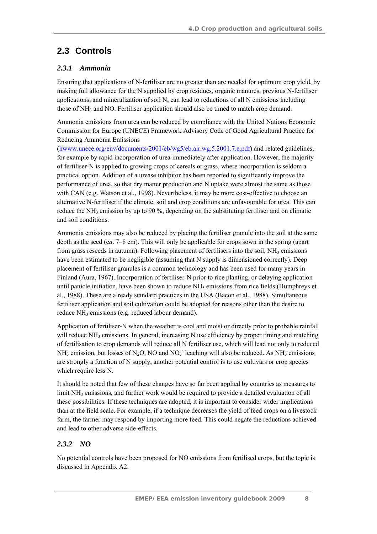# **2.3 Controls**

### *2.3.1 Ammonia*

Ensuring that applications of N-fertiliser are no greater than are needed for optimum crop yield, by making full allowance for the N supplied by crop residues, organic manures, previous N-fertiliser applications, and mineralization of soil N, can lead to reductions of all N emissions including those of  $NH_3$  and NO. Fertiliser application should also be timed to match crop demand.

Ammonia emissions from urea can be reduced by compliance with the United Nations Economic Commission for Europe (UNECE) Framework Advisory Code of Good Agricultural Practice for Reducing Ammonia Emissions

(hwww.unece.org/env/documents/2001/eb/wg5/eb.air.wg.5.2001.7.e.pdf) and related guidelines, for example by rapid incorporation of urea immediately after application. However, the majority of fertiliser-N is applied to growing crops of cereals or grass, where incorporation is seldom a practical option. Addition of a urease inhibitor has been reported to significantly improve the performance of urea, so that dry matter production and N uptake were almost the same as those with CAN (e.g. Watson et al., 1998). Nevertheless, it may be more cost-effective to choose an alternative N-fertiliser if the climate, soil and crop conditions are unfavourable for urea. This can reduce the NH<sub>3</sub> emission by up to 90 %, depending on the substituting fertiliser and on climatic and soil conditions.

Ammonia emissions may also be reduced by placing the fertiliser granule into the soil at the same depth as the seed (c*a*. 7–8 cm). This will only be applicable for crops sown in the spring (apart from grass reseeds in autumn). Following placement of fertilisers into the soil,  $NH_3$  emissions have been estimated to be negligible (assuming that N supply is dimensioned correctly). Deep placement of fertiliser granules is a common technology and has been used for many years in Finland (Aura, 1967). Incorporation of fertiliser-N prior to rice planting, or delaying application until panicle initiation, have been shown to reduce  $NH_3$  emissions from rice fields (Humphreys et al., 1988). These are already standard practices in the USA (Bacon et al., 1988). Simultaneous fertiliser application and soil cultivation could be adopted for reasons other than the desire to reduce NH<sub>3</sub> emissions (e.g. reduced labour demand).

Application of fertiliser-N when the weather is cool and moist or directly prior to probable rainfall will reduce NH<sub>3</sub> emissions. In general, increasing N use efficiency by proper timing and matching of fertilisation to crop demands will reduce all N fertiliser use, which will lead not only to reduced  $NH<sub>3</sub>$  emission, but losses of N<sub>2</sub>O, NO and NO<sub>3</sub><sup>-</sup> leaching will also be reduced. As NH<sub>3</sub> emissions are strongly a function of N supply, another potential control is to use cultivars or crop species which require less N.

It should be noted that few of these changes have so far been applied by countries as measures to limit  $NH<sub>3</sub>$  emissions, and further work would be required to provide a detailed evaluation of all these possibilities. If these techniques are adopted, it is important to consider wider implications than at the field scale. For example, if a technique decreases the yield of feed crops on a livestock farm, the farmer may respond by importing more feed. This could negate the reductions achieved and lead to other adverse side-effects.

### *2.3.2 NO*

No potential controls have been proposed for NO emissions from fertilised crops, but the topic is discussed in Appendix A2.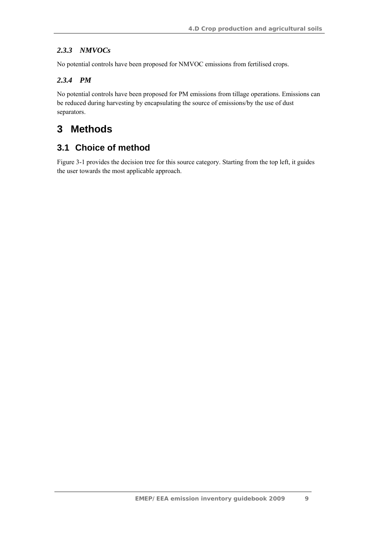### *2.3.3 NMVOCs*

No potential controls have been proposed for NMVOC emissions from fertilised crops.

### *2.3.4 PM*

No potential controls have been proposed for PM emissions from tillage operations. Emissions can be reduced during harvesting by encapsulating the source of emissions/by the use of dust separators.

# **3 Methods**

## **3.1 Choice of method**

Figure 3-1 provides the decision tree for this source category. Starting from the top left, it guides the user towards the most applicable approach.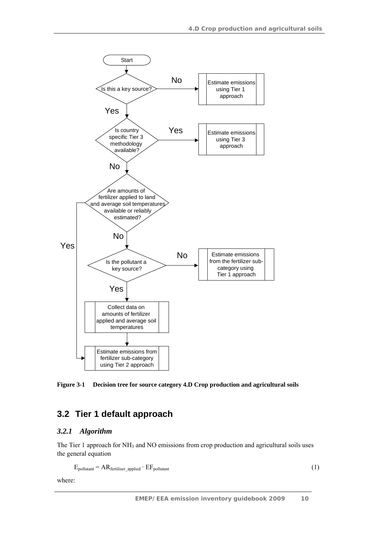

**Figure 3-1 Decision tree for source category 4.D Crop production and agricultural soils** 

### **3.2 Tier 1 default approach**

#### *3.2.1 Algorithm*

The Tier 1 approach for  $NH_3$  and NO emissions from crop production and agricultural soils uses the general equation

```
E_{\text{pollutant}} = AR_{\text{fertiliser}} \cdot EF_{\text{pollutant}} (1)
```
where: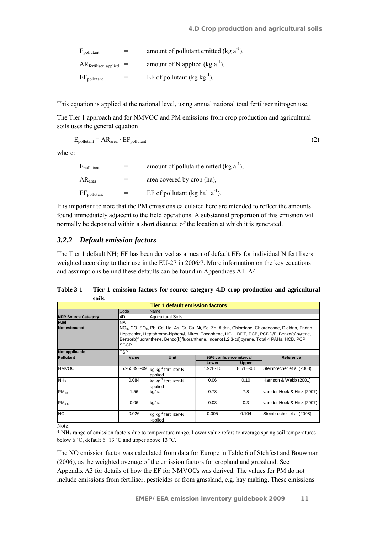| $E_{\text{pollutant}}$      |     | amount of pollutant emitted (kg $a^{-1}$ ), |
|-----------------------------|-----|---------------------------------------------|
| $AR$ fertiliser applied $=$ |     | amount of N applied ( $kg a^{-1}$ ),        |
| $EF_{\text{pollutant}}$     | $=$ | EF of pollutant $(\text{kg kg}^{-1})$ .     |

This equation is applied at the national level, using annual national total fertiliser nitrogen use.

The Tier 1 approach and for NMVOC and PM emissions from crop production and agricultural soils uses the general equation

$$
E_{\text{pollutant}} = AR_{\text{area}} \cdot EF_{\text{pollutant}} \tag{2}
$$

where:

| $E_{\text{pollutant}}$  |     | amount of pollutant emitted $(\text{kg } a^{-1})$ ,     |
|-------------------------|-----|---------------------------------------------------------|
| AR <sub>area</sub>      | $=$ | area covered by crop (ha),                              |
| $EF_{\text{pollutant}}$ |     | EF of pollutant (kg ha <sup>-1</sup> a <sup>-1</sup> ). |

It is important to note that the PM emissions calculated here are intended to reflect the amounts found immediately adjacent to the field operations. A substantial proportion of this emission will normally be deposited within a short distance of the location at which it is generated.

#### *3.2.2 Default emission factors*

The Tier 1 default  $NH<sub>3</sub>$  EF has been derived as a mean of default EFs for individual N fertilisers weighted according to their use in the EU-27 in 2006/7. More information on the key equations and assumptions behind these defaults can be found in Appendices A1–A4.

| <b>Tier 1 default emission factors</b> |                                                                                                                                                                                                                                                                                                                                |                                             |          |                         |                            |  |
|----------------------------------------|--------------------------------------------------------------------------------------------------------------------------------------------------------------------------------------------------------------------------------------------------------------------------------------------------------------------------------|---------------------------------------------|----------|-------------------------|----------------------------|--|
|                                        | Code                                                                                                                                                                                                                                                                                                                           | Name                                        |          |                         |                            |  |
| <b>NFR Source Category</b>             | 4D                                                                                                                                                                                                                                                                                                                             | <b>Agricultural Soils</b>                   |          |                         |                            |  |
| <b>Fuel</b>                            | <b>NA</b>                                                                                                                                                                                                                                                                                                                      |                                             |          |                         |                            |  |
| <b>Not estimated</b>                   | $NOx$ , CO, SO <sub>x</sub> , Pb, Cd, Hg, As, Cr, Cu, Ni, Se, Zn, Aldrin, Chlordane, Chlordecone, Dieldrin, Endrin,<br>Heptachlor, Heptabromo-biphenyl, Mirex, Toxaphene, HCH, DDT, PCB, PCDD/F, Benzo(a)pyrene,<br>Benzo(b)fluoranthene, Benzo(k)fluoranthene, Indeno(1,2,3-cd)pyrene, Total 4 PAHs, HCB, PCP,<br><b>SCCP</b> |                                             |          |                         |                            |  |
| Not applicable                         | TSP                                                                                                                                                                                                                                                                                                                            |                                             |          |                         |                            |  |
| <b>Pollutant</b>                       | Value                                                                                                                                                                                                                                                                                                                          | Unit                                        |          | 95% confidence interval | Reference                  |  |
|                                        |                                                                                                                                                                                                                                                                                                                                |                                             | Lower    | <b>Upper</b>            |                            |  |
| <b>NMVOC</b>                           | 5.95539E-09                                                                                                                                                                                                                                                                                                                    | kg kg <sup>-1</sup> fertilizer-N<br>applied | 1.92E-10 | 8.51E-08                | Steinbrecher et al (2008)  |  |
| NH <sub>3</sub>                        | 0.084                                                                                                                                                                                                                                                                                                                          | kg kg <sup>-1</sup> fertilizer-N<br>applied | 0.06     | 0.10                    | Harrison & Webb (2001)     |  |
| $PM_{10}$                              | 1.56                                                                                                                                                                                                                                                                                                                           | kg/ha                                       | 0.78     | 7.8                     | van der Hoek & Hinz (2007) |  |
| PM <sub>2.5</sub>                      | 0.06                                                                                                                                                                                                                                                                                                                           | kg/ha                                       | 0.03     | 0.3                     | van der Hoek & Hinz (2007) |  |
| <b>NO</b>                              | 0.026                                                                                                                                                                                                                                                                                                                          | kg kg <sup>-1</sup> fertilizer-N<br>applied | 0.005    | 0.104                   | Steinbrecher et al (2008)  |  |

**Table 3-1 Tier 1 emission factors for source category 4.D crop production and agricultural soils** 

Note:

\* NH3 range of emission factors due to temperature range. Lower value refers to average spring soil temperatures below 6 ˚C, default 6–13 ˚C and upper above 13 ˚C.

The NO emission factor was calculated from data for Europe in Table 6 of Stehfest and Bouwman (2006), as the weighted average of the emission factors for cropland and grassland. See Appendix A3 for details of how the EF for NMVOCs was derived. The values for PM do not include emissions from fertiliser, pesticides or from grassland, e.g. hay making. These emissions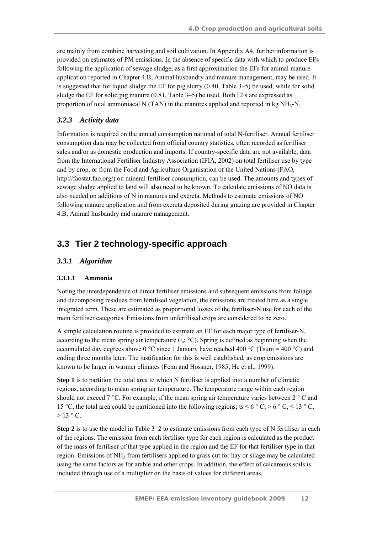are mainly from combine harvesting and soil cultivation. In Appendix A4, further information is provided on estimates of PM emissions. In the absence of specific data with which to produce EFs following the application of sewage sludge, as a first approximation the EFs for animal manure application reported in Chapter 4.B, Animal husbandry and manure management, may be used. It is suggested that for liquid sludge the EF for pig slurry (0.40, Table 3–5) be used, while for solid sludge the EF for solid pig manure (0.81, Table 3–5) be used. Both EFs are expressed as proportion of total ammoniacal N (TAN) in the manures applied and reported in kg  $NH<sub>3</sub>-N$ .

#### *3.2.3 Activity data*

Information is required on the annual consumption national of total N-fertiliser. Annual fertiliser consumption data may be collected from official country statistics, often recorded as fertiliser sales and/or as domestic production and imports. If country-specific data are not available, data from the International Fertiliser Industry Association (IFIA, 2002) on total fertiliser use by type and by crop, or from the Food and Agriculture Organisation of the United Nations (FAO, http://faostat.fao.org/) on mineral fertiliser consumption, can be used. The amounts and types of sewage sludge applied to land will also need to be known. To calculate emissions of NO data is also needed on additions of N in manures and excreta. Methods to estimate emissions of NO following manure application and from excreta deposited during grazing are provided in Chapter 4.B, Animal husbandry and manure management.

### **3.3 Tier 2 technology-specific approach**

#### *3.3.1 Algorithm*

#### **3.3.1.1 Ammonia**

Noting the interdependence of direct fertiliser emissions and subsequent emissions from foliage and decomposing residues from fertilised vegetation, the emissions are treated here as a single integrated term. These are estimated as proportional losses of the fertiliser-N use for each of the main fertiliser categories. Emissions from unfertilised crops are considered to be zero.

A simple calculation routine is provided to estimate an EF for each major type of fertiliser-N, according to the mean spring air temperature  $(t_s, {}^{\circ}C)$ . Spring is defined as beginning when the accumulated day degrees above 0 °C since 1 January have reached 400 °C (Tsum = 400 °C) and ending three months later. The justification for this is well established, as crop emissions are known to be larger in warmer climates (Fenn and Hossner, 1985; He et al., 1999).

**Step 1** is to partition the total area to which N fertiliser is applied into a number of climatic regions, according to mean spring air temperature. The temperature range within each region should not exceed  $7^{\circ}$ C. For example, if the mean spring air temperature varies between  $2^{\circ}$ C and 15 °C, the total area could be partitioned into the following regions; ts  $\leq 6$  °C,  $> 6$  °C,  $\leq 13$  °C,  $> 13 \degree C$ .

**Step 2** is to use the model in Table 3–2 to estimate emissions from each type of N fertiliser in each of the regions. The emission from each fertiliser type for each region is calculated as the product of the mass of fertiliser of that type applied in the region and the EF for that fertiliser type in that region. Emissions of  $NH_3$  from fertilisers applied to grass cut for hay or silage may be calculated using the same factors as for arable and other crops. In addition, the effect of calcareous soils is included through use of a multiplier on the basis of values for different areas.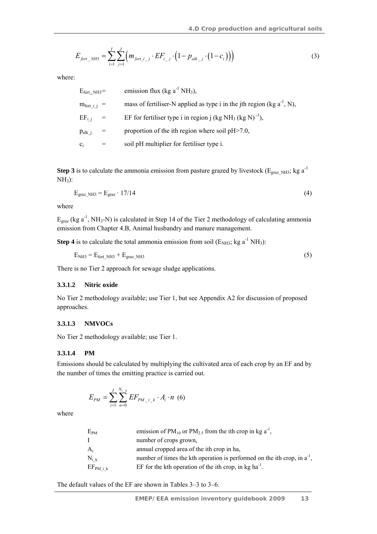$$
E_{\text{fert\_NH3}} = \sum_{i=1}^{I} \sum_{j=1}^{J} \left( m_{\text{fert\_i\_j}} \cdot EF_{i\_j} \cdot \left( 1 - p_{\text{alk\_j}} \cdot \left( 1 - c_i \right) \right) \right) \tag{3}
$$

where:

| $E_{\text{fert}\_\text{NH3}}=$ | emission flux (kg $a^{-1} NH_3$ ),                                               |
|--------------------------------|----------------------------------------------------------------------------------|
| $m_{\text{fert i}} =$          | mass of fertiliser-N applied as type i in the jth region (kg $a^{-1}$ , N),      |
| $EF_{i,i}$ =                   | EF for fertiliser type i in region j (kg NH <sub>3</sub> (kg N) <sup>-1</sup> ), |
| $p_{\text{alk }i}$             | proportion of the ith region where soil pH > 7.0,                                |
| $c_i$                          | soil pH multiplier for fertiliser type i.                                        |

**Step 3** is to calculate the ammonia emission from pasture grazed by livestock ( $E_{grav,NH3}$ ; kg a<sup>-1</sup>)  $NH<sub>3</sub>$ :

$$
E_{\text{grav NH3}} = E_{\text{grav}} \cdot 17/14 \tag{4}
$$

where

 $E_{\text{grav}}$  (kg a<sup>-1</sup>, NH<sub>3</sub>-N) is calculated in Step 14 of the Tier 2 methodology of calculating ammonia emission from Chapter 4.B, Animal husbandry and manure management.

**Step 4** is to calculate the total ammonia emission from soil  $(E_{NH3}; kg a^{-1} NH<sub>3</sub>)$ :

$$
E_{NH3} = E_{\text{fert\_NH3}} + E_{\text{graz\_NH3}} \tag{5}
$$

There is no Tier 2 approach for sewage sludge applications.

#### **3.3.1.2 Nitric oxide**

No Tier 2 methodology available; use Tier 1, but see Appendix A2 for discussion of proposed approaches.

#### **3.3.1.3 NMVOCs**

No Tier 2 methodology available; use Tier 1.

#### **3.3.1.4 PM**

Emissions should be calculated by multiplying the cultivated area of each crop by an EF and by the number of times the emitting practice is carried out.

$$
E_{PM} = \sum_{i=1}^{I} \sum_{n=0}^{N_{i-k}} EF_{PM_{i-k}} \cdot A_i \cdot n \tag{6}
$$

where

| $\rm E_{PM}$                            | emission of PM <sub>10</sub> or PM <sub>2.5</sub> from the ith crop in kg a <sup>-1</sup> , |
|-----------------------------------------|---------------------------------------------------------------------------------------------|
|                                         | number of crops grown,                                                                      |
| A.                                      | annual cropped area of the ith crop in ha,                                                  |
| $N_{i\;k}$                              | number of times the kth operation is performed on the ith crop, in $a^{-1}$ ,               |
| $\mathrm{EF}_{\mathrm{PM} \text{ i k}}$ | EF for the kth operation of the ith crop, in kg ha <sup>-1</sup> .                          |

The default values of the EF are shown in Tables 3–3 to 3–6.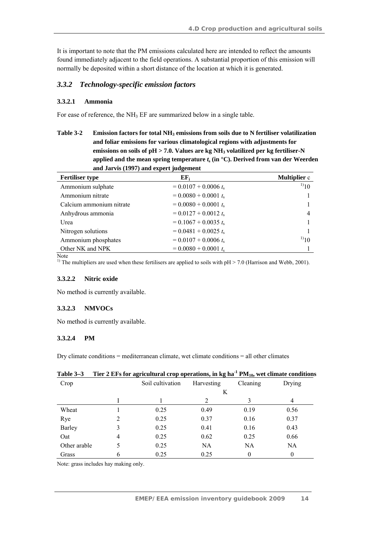It is important to note that the PM emissions calculated here are intended to reflect the amounts found immediately adjacent to the field operations. A substantial proportion of this emission will normally be deposited within a short distance of the location at which it is generated.

#### *3.3.2 Technology-specific emission factors*

#### **3.3.2.1 Ammonia**

For ease of reference, the  $NH<sub>3</sub>$  EF are summarized below in a single table.

Table 3-2 Emission factors for total NH<sub>3</sub> emissions from soils due to N fertiliser volatilization **and foliar emissions for various climatological regions with adjustments for**  emissions on soils of pH > 7.0. Values are kg NH<sub>3</sub> volatilized per kg fertiliser-N applied and the mean spring temperature  $t_s$  (in  $^{\circ}$ C). Derived from van der Weerden **and Jarvis (1997) and expert judgement** 

| <b>Fertiliser type</b>   | EF <sub>i</sub>         | <b>Multiplier</b> c |
|--------------------------|-------------------------|---------------------|
| Ammonium sulphate        | $= 0.0107 + 0.0006 t_s$ | $^{1)}10$           |
| Ammonium nitrate         | $= 0.0080 + 0.0001 t_s$ |                     |
| Calcium ammonium nitrate | $= 0.0080 + 0.0001 t_s$ |                     |
| Anhydrous ammonia        | $= 0.0127 + 0.0012 t_s$ | 4                   |
| Urea                     | $= 0.1067 + 0.0035 t_s$ |                     |
| Nitrogen solutions       | $= 0.0481 + 0.0025 t_s$ |                     |
| Ammonium phosphates      | $= 0.0107 + 0.0006 t_s$ | $^{1)}10$           |
| Other NK and NPK         | $= 0.0080 + 0.0001 t_s$ |                     |

Note

<sup>1)</sup> The multipliers are used when these fertilisers are applied to soils with  $pH > 7.0$  (Harrison and Webb, 2001).

#### **3.3.2.2 Nitric oxide**

No method is currently available.

#### **3.3.2.3 NMVOCs**

No method is currently available.

#### **3.3.2.4 PM**

Dry climate conditions = mediterranean climate, wet climate conditions = all other climates

| $1$ and $3 - 3$ |   | The $\overline{z}$ existent agricultural crop operations, in kg na $\overline{r}$ PM <sub>10</sub> , wet climate conditions |                |           |        |
|-----------------|---|-----------------------------------------------------------------------------------------------------------------------------|----------------|-----------|--------|
| Crop            |   | Soil cultivation                                                                                                            | Harvesting     | Cleaning  | Drying |
|                 |   |                                                                                                                             | K              |           |        |
|                 |   |                                                                                                                             | $\mathfrak{D}$ |           | 4      |
| Wheat           |   | 0.25                                                                                                                        | 0.49           | 0.19      | 0.56   |
| Rye             |   | 0.25                                                                                                                        | 0.37           | 0.16      | 0.37   |
| Barley          | 3 | 0.25                                                                                                                        | 0.41           | 0.16      | 0.43   |
| Oat             | 4 | 0.25                                                                                                                        | 0.62           | 0.25      | 0.66   |
| Other arable    | 5 | 0.25                                                                                                                        | NA             | <b>NA</b> | NA.    |
| Grass           | 6 | 0.25                                                                                                                        | 0.25           |           | 0      |

### T<sub>ion</sub> 3 F<sub>Fs</sub> for agricultural crop operations, in kg ha<sup>-1</sup> PM<sub>10</sub>, wet climate conditions

Note: grass includes hay making only.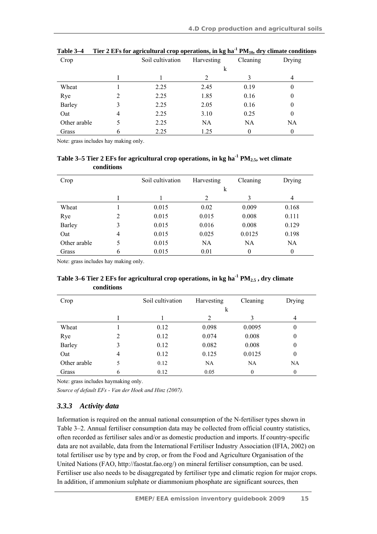| Crop         |   | Soil cultivation | Harvesting | Cleaning | Drying    |
|--------------|---|------------------|------------|----------|-----------|
|              |   |                  | k          |          |           |
|              |   |                  | າ          |          | 4         |
| Wheat        |   | 2.25             | 2.45       | 0.19     | 0         |
| Rye          |   | 2.25             | 1.85       | 0.16     | 0         |
| Barley       |   | 2.25             | 2.05       | 0.16     | 0         |
| Oat          | 4 | 2.25             | 3.10       | 0.25     | 0         |
| Other arable | 5 | 2.25             | <b>NA</b>  | NA       | <b>NA</b> |
| Grass        | O | 2.25             | 1.25       |          |           |

|  | Table 3–4 | Tier 2 EFs for agricultural crop operations, in kg ha <sup>-1</sup> PM <sub>10</sub> , dry climate conditions |  |  |
|--|-----------|---------------------------------------------------------------------------------------------------------------|--|--|
|--|-----------|---------------------------------------------------------------------------------------------------------------|--|--|

Note: grass includes hay making only.

Table 3–5 Tier 2 EFs for agricultural crop operations, in kg ha<sup>-1</sup> PM<sub>2.5</sub>, wet climate **conditions** 

| Crop          |                | Soil cultivation | Harvesting | Cleaning | Drying   |
|---------------|----------------|------------------|------------|----------|----------|
|               |                |                  | k          |          |          |
|               |                |                  | 2          | 3        | 4        |
| Wheat         |                | 0.015            | 0.02       | 0.009    | 0.168    |
| Rye           | 2              | 0.015            | 0.015      | 0.008    | 0.111    |
| <b>Barley</b> | 3              | 0.015            | 0.016      | 0.008    | 0.129    |
| Oat           | $\overline{4}$ | 0.015            | 0.025      | 0.0125   | 0.198    |
| Other arable  | 5              | 0.015            | NA         | NA       | NA.      |
| Grass         | 6              | 0.015            | 0.01       | 0        | $\theta$ |

Note: grass includes hay making only.

#### Table 3–6 Tier 2 EFs for agricultural crop operations, in kg ha<sup>-1</sup> PM<sub>2.5</sub>, dry climate **conditions**

| Crop         |   | Soil cultivation | Harvesting | Cleaning | Drying         |
|--------------|---|------------------|------------|----------|----------------|
|              |   |                  | $\bf k$    |          |                |
|              |   |                  | 2          | 3        | $\overline{4}$ |
| Wheat        |   | 0.12             | 0.098      | 0.0095   | $\theta$       |
| Rye          | 2 | 0.12             | 0.074      | 0.008    | $\theta$       |
| Barley       |   | 0.12             | 0.082      | 0.008    | $\theta$       |
| Oat          | 4 | 0.12             | 0.125      | 0.0125   | $\theta$       |
| Other arable | 5 | 0.12             | NA         | NA       | NA             |
| Grass        | 6 | 0.12             | 0.05       | $\theta$ | 0              |

Note: grass includes haymaking only.

*Source of default EFs - Van der Hoek and Hinz (2007).* 

#### *3.3.3 Activity data*

Information is required on the annual national consumption of the N-fertiliser types shown in Table 3–2. Annual fertiliser consumption data may be collected from official country statistics, often recorded as fertiliser sales and/or as domestic production and imports. If country-specific data are not available, data from the International Fertiliser Industry Association (IFIA, 2002) on total fertiliser use by type and by crop, or from the Food and Agriculture Organisation of the United Nations (FAO, http://faostat.fao.org/) on mineral fertiliser consumption, can be used. Fertiliser use also needs to be disaggregated by fertiliser type and climatic region for major crops. In addition, if ammonium sulphate or diammonium phosphate are significant sources, then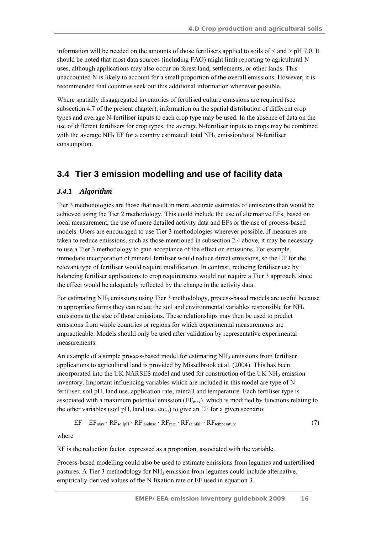information will be needed on the amounts of those fertilisers applied to soils of  $\leq$  and  $>$  pH 7.0. It should be noted that most data sources (including FAO) might limit reporting to agricultural N uses, although applications may also occur on forest land, settlements, or other lands. This unaccounted N is likely to account for a small proportion of the overall emissions. However, it is recommended that countries seek out this additional information whenever possible.

Where spatially disaggregated inventories of fertilised culture emissions are required (see subsection 4.7 of the present chapter), information on the spatial distribution of different crop types and average N-fertiliser inputs to each crop type may be used. In the absence of data on the use of different fertilisers for crop types, the average N-fertiliser inputs to crops may be combined with the average NH<sub>3</sub> EF for a country estimated: total NH<sub>3</sub> emission/total N-fertiliser consumption.

### **3.4 Tier 3 emission modelling and use of facility data**

#### *3.4.1 Algorithm*

Tier 3 methodologies are those that result in more accurate estimates of emissions than would be achieved using the Tier 2 methodology. This could include the use of alternative EFs, based on local measurement, the use of more detailed activity data and EFs or the use of process-based models. Users are encouraged to use Tier 3 methodologies wherever possible. If measures are taken to reduce emissions, such as those mentioned in subsection 2.4 above, it may be necessary to use a Tier 3 methodology to gain acceptance of the effect on emissions. For example, immediate incorporation of mineral fertiliser would reduce direct emissions, so the EF for the relevant type of fertiliser would require modification. In contrast, reducing fertiliser use by balancing fertiliser applications to crop requirements would not require a Tier 3 approach, since the effect would be adequately reflected by the change in the activity data.

For estimating NH3 emissions using Tier 3 methodology, process-based models are useful because in appropriate forms they can relate the soil and environmental variables responsible for  $NH<sub>3</sub>$ emissions to the size of those emissions. These relationships may then be used to predict emissions from whole countries or regions for which experimental measurements are impracticable. Models should only be used after validation by representative experimental measurements.

An example of a simple process-based model for estimating  $NH<sub>3</sub>$  emissions from fertiliser applications to agricultural land is provided by Misselbrook et al. (2004). This has been incorporated into the UK NARSES model and used for construction of the UK  $NH<sub>3</sub>$  emission inventory. Important influencing variables which are included in this model are type of N fertiliser, soil pH, land use, application rate, rainfall and temperature. Each fertiliser type is associated with a maximum potential emission ( $EF<sub>max</sub>$ ), which is modified by functions relating to the other variables (soil pH, land use, etc.,) to give an EF for a given scenario:

$$
EF = EF_{\text{max}} \cdot RF_{\text{soilpH}} \cdot RF_{\text{landuse}} \cdot RF_{\text{rate}} \cdot RF_{\text{rainfall}} \cdot RF_{\text{temperature}} \tag{7}
$$

where

RF is the reduction factor, expressed as a proportion, associated with the variable.

Process-based modelling could also be used to estimate emissions from legumes and unfertilised pastures. A Tier 3 methodology for NH3 emission from legumes could include alternative, empirically-derived values of the N fixation rate or EF used in equation 3.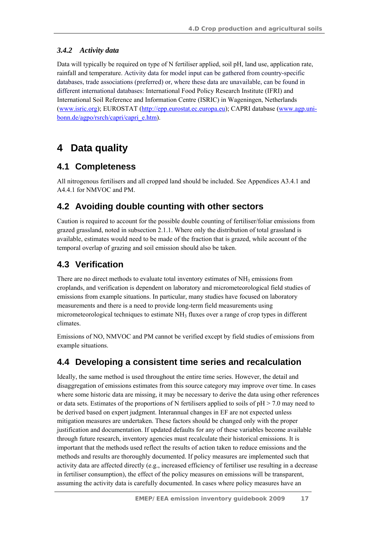### *3.4.2 Activity data*

Data will typically be required on type of N fertiliser applied, soil pH, land use, application rate, rainfall and temperature. Activity data for model input can be gathered from country-specific databases, trade associations (preferred) or, where these data are unavailable, can be found in different international databases: International Food Policy Research Institute (IFRI) and International Soil Reference and Information Centre (ISRIC) in Wageningen, Netherlands (www.isric.org); EUROSTAT (http://epp.eurostat.ec.europa.eu); CAPRI database (www.agp.unibonn.de/agpo/rsrch/capri/capri\_e.htm).

# **4 Data quality**

### **4.1 Completeness**

All nitrogenous fertilisers and all cropped land should be included. See Appendices A3.4.1 and A4.4.1 for NMVOC and PM.

## **4.2 Avoiding double counting with other sectors**

Caution is required to account for the possible double counting of fertiliser/foliar emissions from grazed grassland, noted in subsection 2.1.1. Where only the distribution of total grassland is available, estimates would need to be made of the fraction that is grazed, while account of the temporal overlap of grazing and soil emission should also be taken.

## **4.3 Verification**

There are no direct methods to evaluate total inventory estimates of NH<sub>3</sub> emissions from croplands, and verification is dependent on laboratory and micrometeorological field studies of emissions from example situations. In particular, many studies have focused on laboratory measurements and there is a need to provide long-term field measurements using micrometeorological techniques to estimate NH3 fluxes over a range of crop types in different climates.

Emissions of NO, NMVOC and PM cannot be verified except by field studies of emissions from example situations.

## **4.4 Developing a consistent time series and recalculation**

Ideally, the same method is used throughout the entire time series. However, the detail and disaggregation of emissions estimates from this source category may improve over time. In cases where some historic data are missing, it may be necessary to derive the data using other references or data sets. Estimates of the proportions of N fertilisers applied to soils of  $pH > 7.0$  may need to be derived based on expert judgment. Interannual changes in EF are not expected unless mitigation measures are undertaken. These factors should be changed only with the proper justification and documentation. If updated defaults for any of these variables become available through future research, inventory agencies must recalculate their historical emissions. It is important that the methods used reflect the results of action taken to reduce emissions and the methods and results are thoroughly documented. If policy measures are implemented such that activity data are affected directly (e.g., increased efficiency of fertiliser use resulting in a decrease in fertiliser consumption), the effect of the policy measures on emissions will be transparent, assuming the activity data is carefully documented. In cases where policy measures have an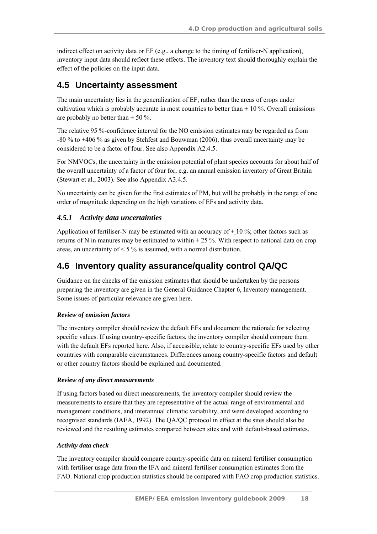indirect effect on activity data or EF (e.g., a change to the timing of fertiliser-N application), inventory input data should reflect these effects. The inventory text should thoroughly explain the effect of the policies on the input data.

## **4.5 Uncertainty assessment**

The main uncertainty lies in the generalization of EF, rather than the areas of crops under cultivation which is probably accurate in most countries to better than  $\pm$  10 %. Overall emissions are probably no better than  $\pm$  50 %.

The relative 95 %-confidence interval for the NO emission estimates may be regarded as from -80 % to +406 % as given by Stehfest and Bouwman (2006), thus overall uncertainty may be considered to be a factor of four. See also Appendix A2.4.5.

For NMVOCs, the uncertainty in the emission potential of plant species accounts for about half of the overall uncertainty of a factor of four for, e.g. an annual emission inventory of Great Britain (Stewart et al., 2003). See also Appendix A3.4.5.

No uncertainty can be given for the first estimates of PM, but will be probably in the range of one order of magnitude depending on the high variations of EFs and activity data.

### *4.5.1 Activity data uncertainties*

Application of fertiliser-N may be estimated with an accuracy of  $\pm 10\%$ ; other factors such as returns of N in manures may be estimated to within  $\pm$  25 %. With respect to national data on crop areas, an uncertainty of  $\leq$  5 % is assumed, with a normal distribution.

## **4.6 Inventory quality assurance/quality control QA/QC**

Guidance on the checks of the emission estimates that should be undertaken by the persons preparing the inventory are given in the General Guidance Chapter 6, Inventory management. Some issues of particular relevance are given here.

#### *Review of emission factors*

The inventory compiler should review the default EFs and document the rationale for selecting specific values. If using country-specific factors, the inventory compiler should compare them with the default EFs reported here. Also, if accessible, relate to country-specific EFs used by other countries with comparable circumstances. Differences among country-specific factors and default or other country factors should be explained and documented.

#### *Review of any direct measurements*

If using factors based on direct measurements, the inventory compiler should review the measurements to ensure that they are representative of the actual range of environmental and management conditions, and interannual climatic variability, and were developed according to recognised standards (IAEA, 1992). The QA/QC protocol in effect at the sites should also be reviewed and the resulting estimates compared between sites and with default-based estimates.

#### *Activity data check*

The inventory compiler should compare country-specific data on mineral fertiliser consumption with fertiliser usage data from the IFA and mineral fertiliser consumption estimates from the FAO. National crop production statistics should be compared with FAO crop production statistics.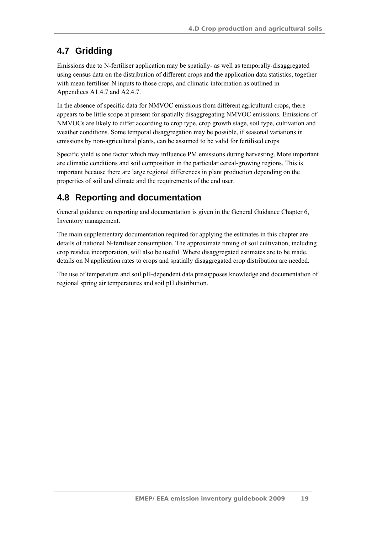## **4.7 Gridding**

Emissions due to N-fertiliser application may be spatially- as well as temporally-disaggregated using census data on the distribution of different crops and the application data statistics, together with mean fertiliser-N inputs to those crops, and climatic information as outlined in Appendices A1.4.7 and A2.4.7.

In the absence of specific data for NMVOC emissions from different agricultural crops, there appears to be little scope at present for spatially disaggregating NMVOC emissions. Emissions of NMVOCs are likely to differ according to crop type, crop growth stage, soil type, cultivation and weather conditions. Some temporal disaggregation may be possible, if seasonal variations in emissions by non-agricultural plants, can be assumed to be valid for fertilised crops.

Specific yield is one factor which may influence PM emissions during harvesting. More important are climatic conditions and soil composition in the particular cereal-growing regions. This is important because there are large regional differences in plant production depending on the properties of soil and climate and the requirements of the end user.

## **4.8 Reporting and documentation**

General guidance on reporting and documentation is given in the General Guidance Chapter 6, Inventory management.

The main supplementary documentation required for applying the estimates in this chapter are details of national N-fertiliser consumption. The approximate timing of soil cultivation, including crop residue incorporation, will also be useful. Where disaggregated estimates are to be made, details on N application rates to crops and spatially disaggregated crop distribution are needed.

The use of temperature and soil pH-dependent data presupposes knowledge and documentation of regional spring air temperatures and soil pH distribution.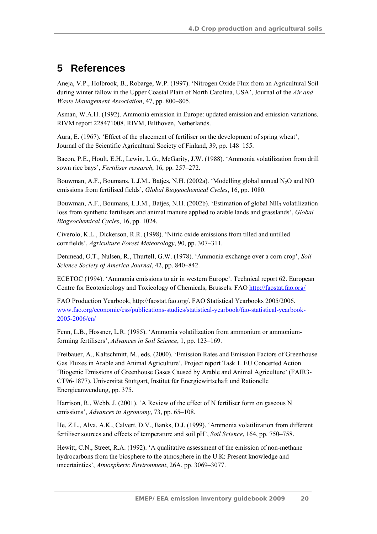# **5 References**

Aneja, V.P., Holbrook, B., Robarge, W.P. (1997). 'Nitrogen Oxide Flux from an Agricultural Soil during winter fallow in the Upper Coastal Plain of North Carolina, USA', Journal of the *Air and Waste Management Association*, 47, pp. 800–805.

Asman, W.A.H. (1992). Ammonia emission in Europe: updated emission and emission variations. RIVM report 228471008. RIVM, Bilthoven, Netherlands.

Aura, E. (1967). 'Effect of the placement of fertiliser on the development of spring wheat', Journal of the Scientific Agricultural Society of Finland, 39, pp. 148–155.

Bacon, P.E., Hoult, E.H., Lewin, L.G., McGarity, J.W. (1988). 'Ammonia volatilization from drill sown rice bays', *Fertiliser research*, 16, pp. 257–272.

Bouwman, A.F., Boumans, L.J.M., Batjes, N.H. (2002a). 'Modelling global annual N<sub>2</sub>O and NO emissions from fertilised fields', *Global Biogeochemical Cycles*, 16, pp. 1080.

Bouwman, A.F., Boumans, L.J.M., Batjes, N.H. (2002b). 'Estimation of global NH<sub>3</sub> volatilization loss from synthetic fertilisers and animal manure applied to arable lands and grasslands', *Global Biogeochemical Cycles*, 16, pp. 1024.

Civerolo, K.L., Dickerson, R.R. (1998). 'Nitric oxide emissions from tilled and untilled cornfields', *Agriculture Forest Meteorology*, 90, pp. 307–311.

Denmead, O.T., Nulsen, R., Thurtell, G.W. (1978). 'Ammonia exchange over a corn crop', *Soil Science Society of America Journal*, 42, pp. 840–842.

ECETOC (1994). 'Ammonia emissions to air in western Europe'. Technical report 62. European Centre for Ecotoxicology and Toxicology of Chemicals, Brussels. FAO http://faostat.fao.org/

FAO Production Yearbook, http://faostat.fao.org/. FAO Statistical Yearbooks 2005/2006. www.fao.org/economic/ess/publications-studies/statistical-yearbook/fao-statistical-yearbook-2005-2006/en/

Fenn, L.B., Hossner, L.R. (1985). 'Ammonia volatilization from ammonium or ammoniumforming fertilisers', *Advances in Soil Science*, 1, pp. 123–169.

Freibauer, A., Kaltschmitt, M., eds. (2000). 'Emission Rates and Emission Factors of Greenhouse Gas Fluxes in Arable and Animal Agriculture'. Project report Task 1. EU Concerted Action 'Biogenic Emissions of Greenhouse Gases Caused by Arable and Animal Agriculture' (FAIR3- CT96-1877). Universität Stuttgart, Institut für Energiewirtschaft und Rationelle Energieanwendung, pp. 375.

Harrison, R., Webb, J. (2001). 'A Review of the effect of N fertiliser form on gaseous N emissions', *Advances in Agronomy*, 73, pp. 65–108.

He, Z.L., Alva, A.K., Calvert, D.V., Banks, D.J. (1999). 'Ammonia volatilization from different fertiliser sources and effects of temperature and soil pH', *Soil Science*, 164, pp. 750–758.

Hewitt, C.N., Street, R.A. (1992). 'A qualitative assessment of the emission of non-methane hydrocarbons from the biosphere to the atmosphere in the U.K: Present knowledge and uncertainties', *Atmospheric Environment*, 26A, pp. 3069–3077.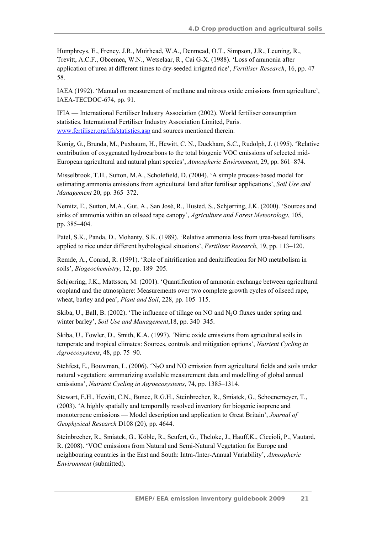Humphreys, E., Freney, J.R., Muirhead, W.A., Denmead, O.T., Simpson, J.R., Leuning, R., Trevitt, A.C.F., Obcemea, W.N., Wetselaar, R., Cai G-X. (1988). 'Loss of ammonia after application of urea at different times to dry-seeded irrigated rice', *Fertiliser Research*, 16, pp. 47– 58.

IAEA (1992). 'Manual on measurement of methane and nitrous oxide emissions from agriculture', IAEA-TECDOC-674, pp. 91.

IFIA — International Fertiliser Industry Association (2002). World fertiliser consumption statistics. International Fertiliser Industry Association Limited, Paris. www.fertiliser.org/ifa/statistics.asp and sources mentioned therein.

König, G., Brunda, M., Puxbaum, H., Hewitt, C. N., Duckham, S.C., Rudolph, J. (1995). 'Relative contribution of oxygenated hydrocarbons to the total biogenic VOC emissions of selected mid-European agricultural and natural plant species', *Atmospheric Environment*, 29, pp. 861–874.

Misselbrook, T.H., Sutton, M.A., Scholefield, D. (2004). 'A simple process-based model for estimating ammonia emissions from agricultural land after fertiliser applications', *Soil Use and Management* 20, pp. 365–372.

Nemitz, E., Sutton, M.A., Gut, A., San José, R., Husted, S., Schjørring, J.K. (2000). 'Sources and sinks of ammonia within an oilseed rape canopy', *Agriculture and Forest Meteorology*, 105, pp. 385–404.

Patel, S.K., Panda, D., Mohanty, S.K. (1989). 'Relative ammonia loss from urea-based fertilisers applied to rice under different hydrological situations', *Fertiliser Research*, 19, pp. 113–120.

Remde, A., Conrad, R. (1991). 'Role of nitrification and denitrification for NO metabolism in soils', *Biogeochemistry*, 12, pp. 189–205.

Schjørring, J.K., Mattsson, M. (2001). 'Quantification of ammonia exchange between agricultural cropland and the atmosphere: Measurements over two complete growth cycles of oilseed rape, wheat, barley and pea', *Plant and Soil*, 228, pp. 105–115.

Skiba, U., Ball, B. (2002). 'The influence of tillage on NO and  $N_2O$  fluxes under spring and winter barley', *Soil Use and Management*,18, pp. 340–345.

Skiba, U., Fowler, D., Smith, K.A. (1997). 'Nitric oxide emissions from agricultural soils in temperate and tropical climates: Sources, controls and mitigation options', *Nutrient Cycling in Agroecosystems*, 48, pp. 75–90.

Stehfest, E., Bouwman, L. (2006). 'N<sub>2</sub>O and NO emission from agricultural fields and soils under natural vegetation: summarizing available measurement data and modelling of global annual emissions', *Nutrient Cycling in Agroecosystems*, 74, pp. 1385–1314.

Stewart, E.H., Hewitt, C.N., Bunce, R.G.H., Steinbrecher, R., Smiatek, G., Schoenemeyer, T., (2003). 'A highly spatially and temporally resolved inventory for biogenic isoprene and monoterpene emissions — Model description and application to Great Britain', *Journal of Geophysical Research* D108 (20), pp. 4644.

Steinbrecher, R., Smiatek, G., Köble, R., Seufert, G., Theloke, J., Hauff,K., Ciccioli, P., Vautard, R. (2008). 'VOC emissions from Natural and Semi-Natural Vegetation for Europe and neighbouring countries in the East and South: Intra-/Inter-Annual Variability', *Atmospheric Environment* (submitted).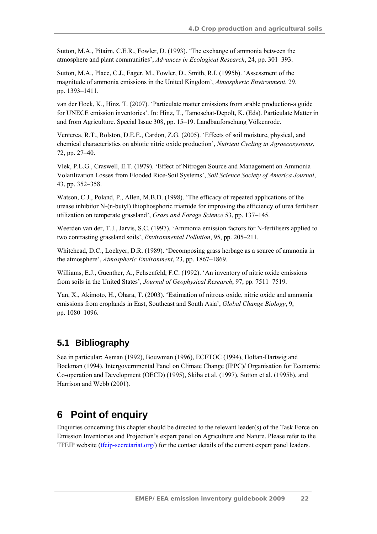Sutton, M.A., Pitairn, C.E.R., Fowler, D. (1993). 'The exchange of ammonia between the atmosphere and plant communities', *Advances in Ecological Research*, 24, pp. 301–393.

Sutton, M.A., Place, C.J., Eager, M., Fowler, D., Smith, R.I. (1995b). 'Assessment of the magnitude of ammonia emissions in the United Kingdom', *Atmospheric Environment*, 29, pp. 1393–1411.

van der Hoek, K., Hinz, T. (2007). 'Particulate matter emissions from arable production-a guide for UNECE emission inventories'. In: Hinz, T., Tamoschat-Depolt, K. (Eds). Particulate Matter in and from Agriculture. Special Issue 308, pp. 15–19. Landbauforschung Völkenrode.

Venterea, R.T., Rolston, D.E.E., Cardon, Z.G. (2005). 'Effects of soil moisture, physical, and chemical characteristics on abiotic nitric oxide production', *Nutrient Cycling in Agroecosystems*, 72, pp. 27–40.

Vlek, P.L.G., Craswell, E.T. (1979). 'Effect of Nitrogen Source and Management on Ammonia Volatilization Losses from Flooded Rice-Soil Systems', *Soil Science Society of America Journal*, 43, pp. 352–358.

Watson, C.J., Poland, P., Allen, M.B.D. (1998). 'The efficacy of repeated applications of the urease inhibitor N-(n-butyl) thiophosphoric triamide for improving the efficiency of urea fertiliser utilization on temperate grassland', *Grass and Forage Science* 53, pp. 137–145.

Weerden van der, T.J., Jarvis, S.C. (1997). 'Ammonia emission factors for N-fertilisers applied to two contrasting grassland soils', *Environmental Pollution*, 95, pp. 205–211.

Whitehead, D.C., Lockyer, D.R. (1989). 'Decomposing grass herbage as a source of ammonia in the atmosphere', *Atmospheric Environment*, 23, pp. 1867–1869.

Williams, E.J., Guenther, A., Fehsenfeld, F.C. (1992). 'An inventory of nitric oxide emissions from soils in the United States', *Journal of Geophysical Research*, 97, pp. 7511–7519.

Yan, X., Akimoto, H., Ohara, T. (2003). 'Estimation of nitrous oxide, nitric oxide and ammonia emissions from croplands in East, Southeast and South Asia', *Global Change Biology*, 9, pp. 1080–1096.

## **5.1 Bibliography**

See in particular: Asman (1992), Bouwman (1996), ECETOC (1994), Holtan-Hartwig and Bøckman (1994), Intergovernmental Panel on Climate Change (IPPC)/ Organisation for Economic Co-operation and Development (OECD) (1995), Skiba et al. (1997), Sutton et al. (1995b), and Harrison and Webb (2001).

## **6 Point of enquiry**

Enquiries concerning this chapter should be directed to the relevant leader(s) of the Task Force on Emission Inventories and Projection's expert panel on Agriculture and Nature. Please refer to the TFEIP website (tfeip-secretariat.org/) for the contact details of the current expert panel leaders.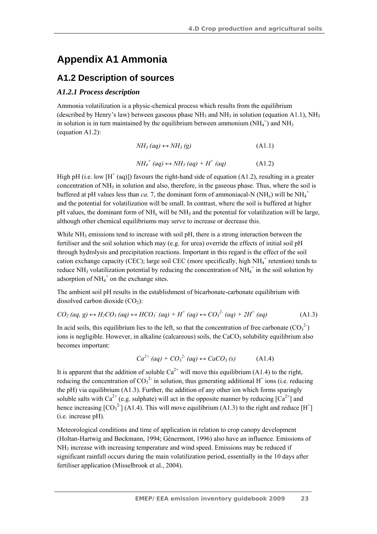## **Appendix A1 Ammonia**

### **A1.2 Description of sources**

#### *A1.2.1 Process description*

Ammonia volatilization is a physic-chemical process which results from the equilibrium (described by Henry's law) between gaseous phase  $NH_3$  and  $NH_3$  in solution (equation A1.1), NH<sub>3</sub> in solution is in turn maintained by the equilibrium between ammonium  $(NH_4^+)$  and  $NH_3$ (equation A1.2):

$$
NH_3\ (aq) \leftrightarrow NH_3\ (g) \tag{A1.1}
$$

$$
NH_4^+(aq) \leftrightarrow NH_3\left(aq\right) + H^+\left(aq\right) \tag{A1.2}
$$

High pH (i.e. low  $[H^+(aq)]$ ) favours the right-hand side of equation (A1.2), resulting in a greater concentration of  $NH_3$  in solution and also, therefore, in the gaseous phase. Thus, where the soil is buffered at pH values less than *ca.* 7, the dominant form of ammoniacal-N (NH<sub>x</sub>) will be NH<sub>4</sub><sup>+</sup> and the potential for volatilization will be small. In contrast, where the soil is buffered at higher pH values, the dominant form of  $NH_x$  will be  $NH_3$  and the potential for volatilization will be large, although other chemical equilibriums may serve to increase or decrease this.

While  $NH<sub>3</sub>$  emissions tend to increase with soil pH, there is a strong interaction between the fertiliser and the soil solution which may (e.g. for urea) override the effects of initial soil pH through hydrolysis and precipitation reactions. Important in this regard is the effect of the soil cation exchange capacity (CEC); large soil CEC (more specifically, high  $NH_4^+$  retention) tends to reduce NH<sub>3</sub> volatilization potential by reducing the concentration of NH<sub>4</sub><sup>+</sup> in the soil solution by adsorption of  $NH_4^+$  on the exchange sites.

The ambient soil pH results in the establishment of bicarbonate-carbonate equilibrium with dissolved carbon dioxide  $(CO<sub>2</sub>)$ :

$$
CO_2 \ (aq, \ g) \leftrightarrow H_2CO_3 \ (aq) \leftrightarrow HCO_3^- \ (aq) + H^+ \ (aq) \leftrightarrow CO_3^{2-} \ (aq) + 2H^+ \ (aq) \tag{A1.3}
$$

In acid soils, this equilibrium lies to the left, so that the concentration of free carbonate  $(CO<sub>3</sub><sup>2</sup>)$ ions is negligible. However, in alkaline (calcareous) soils, the  $CaCO<sub>3</sub>$  solubility equilibrium also becomes important:

$$
Ca^{2+} (aq) + CO_3^{2-} (aq) \leftrightarrow CaCO_3 (s)
$$
 (A1.4)

It is apparent that the addition of soluble  $Ca^{2+}$  will move this equilibrium (A1.4) to the right. reducing the concentration of  $CO_3^2$  in solution, thus generating additional H<sup>+</sup> ions (i.e. reducing the pH) via equilibrium (A1.3). Further, the addition of any other ion which forms sparingly soluble salts with Ca<sup>2+</sup> (e.g. sulphate) will act in the opposite manner by reducing  $\lceil Ca^{2+} \rceil$  and hence increasing  $[CO<sub>3</sub><sup>2</sup>](A1.4)$ . This will move equilibrium (A1.3) to the right and reduce [H<sup>+</sup>] (i.e. increase pH).

Meteorological conditions and time of application in relation to crop canopy development (Holtan-Hartwig and Bøckmann, 1994; Génermont, 1996) also have an influence. Emissions of  $NH<sub>3</sub>$  increase with increasing temperature and wind speed. Emissions may be reduced if significant rainfall occurs during the main volatilization period, essentially in the 10 days after fertiliser application (Misselbrook et al., 2004).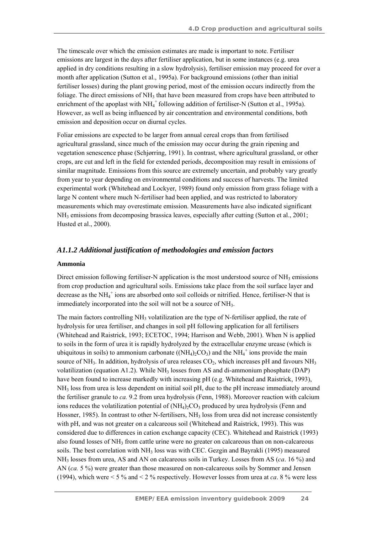The timescale over which the emission estimates are made is important to note. Fertiliser emissions are largest in the days after fertiliser application, but in some instances (e.g. urea applied in dry conditions resulting in a slow hydrolysis), fertiliser emission may proceed for over a month after application (Sutton et al., 1995a). For background emissions (other than initial fertiliser losses) during the plant growing period, most of the emission occurs indirectly from the foliage. The direct emissions of  $NH<sub>3</sub>$  that have been measured from crops have been attributed to enrichment of the apoplast with  $NH_4^+$  following addition of fertiliser-N (Sutton et al., 1995a). However, as well as being influenced by air concentration and environmental conditions, both emission and deposition occur on diurnal cycles.

Foliar emissions are expected to be larger from annual cereal crops than from fertilised agricultural grassland, since much of the emission may occur during the grain ripening and vegetation senescence phase (Schjørring, 1991). In contrast, where agricultural grassland, or other crops, are cut and left in the field for extended periods, decomposition may result in emissions of similar magnitude. Emissions from this source are extremely uncertain, and probably vary greatly from year to year depending on environmental conditions and success of harvests. The limited experimental work (Whitehead and Lockyer, 1989) found only emission from grass foliage with a large N content where much N-fertiliser had been applied, and was restricted to laboratory measurements which may overestimate emission. Measurements have also indicated significant NH3 emissions from decomposing brassica leaves, especially after cutting (Sutton et al., 2001; Husted et al., 2000).

#### *A1.1.2 Additional justification of methodologies and emission factors*

#### **Ammonia**

Direct emission following fertiliser-N application is the most understood source of  $NH_3$  emissions from crop production and agricultural soils. Emissions take place from the soil surface layer and decrease as the NH $_4^+$  ions are absorbed onto soil colloids or nitrified. Hence, fertiliser-N that is immediately incorporated into the soil will not be a source of NH<sub>3</sub>.

The main factors controlling  $NH_3$  volatilization are the type of N-fertiliser applied, the rate of hydrolysis for urea fertiliser, and changes in soil pH following application for all fertilisers (Whitehead and Raistrick, 1993; ECETOC, 1994; Harrison and Webb, 2001). When N is applied to soils in the form of urea it is rapidly hydrolyzed by the extracellular enzyme urease (which is ubiquitous in soils) to ammonium carbonate ( $(NH_4)_2CO_3$ ) and the  $NH_4^+$  ions provide the main source of NH<sub>3</sub>. In addition, hydrolysis of urea releases  $CO<sub>2</sub>$ , which increases pH and favours NH<sub>3</sub> volatilization (equation A1.2). While  $NH<sub>3</sub>$  losses from AS and di-ammonium phosphate (DAP) have been found to increase markedly with increasing pH (e.g. Whitehead and Raistrick, 1993), NH3 loss from urea is less dependent on initial soil pH, due to the pH increase immediately around the fertiliser granule to *ca.* 9.2 from urea hydrolysis (Fenn, 1988). Moreover reaction with calcium ions reduces the volatilization potential of  $(NH_4)$ ;  $CO_3$  produced by urea hydrolysis (Fenn and Hossner, 1985). In contrast to other N-fertilisers, NH<sub>3</sub> loss from urea did not increase consistently with pH, and was not greater on a calcareous soil (Whitehead and Raistrick, 1993). This was considered due to differences in cation exchange capacity (CEC). Whitehead and Raistrick (1993) also found losses of  $NH<sub>3</sub>$  from cattle urine were no greater on calcareous than on non-calcareous soils. The best correlation with  $NH_3$  loss was with CEC. Gezgin and Bayrakli (1995) measured NH3 losses from urea, AS and AN on calcareous soils in Turkey. Losses from AS (*ca*. 16 %) and AN (*ca.* 5 %) were greater than those measured on non-calcareous soils by Sommer and Jensen (1994), which were < 5 % and < 2 % respectively. However losses from urea at *ca*. 8 % were less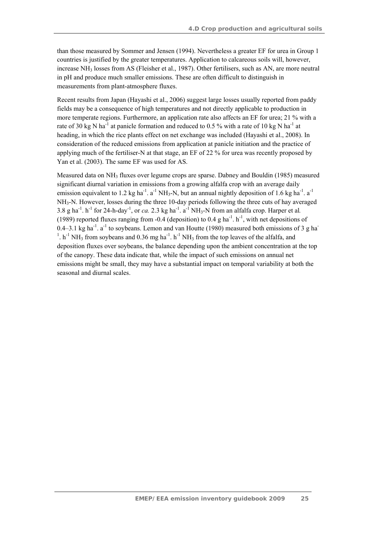than those measured by Sommer and Jensen (1994). Nevertheless a greater EF for urea in Group 1 countries is justified by the greater temperatures. Application to calcareous soils will, however, increase NH<sub>3</sub> losses from AS (Fleisher et al., 1987). Other fertilisers, such as AN, are more neutral in pH and produce much smaller emissions. These are often difficult to distinguish in measurements from plant-atmosphere fluxes.

Recent results from Japan (Hayashi et al., 2006) suggest large losses usually reported from paddy fields may be a consequence of high temperatures and not directly applicable to production in more temperate regions. Furthermore, an application rate also affects an EF for urea; 21 % with a rate of 30 kg N ha<sup>-1</sup> at panicle formation and reduced to 0.5 % with a rate of 10 kg N ha<sup>-1</sup> at heading, in which the rice plants effect on net exchange was included (Hayashi et al., 2008). In consideration of the reduced emissions from application at panicle initiation and the practice of applying much of the fertiliser-N at that stage, an EF of 22 % for urea was recently proposed by Yan et al. (2003). The same EF was used for AS.

Measured data on NH3 fluxes over legume crops are sparse. Dabney and Bouldin (1985) measured significant diurnal variation in emissions from a growing alfalfa crop with an average daily emission equivalent to 1.2 kg ha<sup>-1</sup>. a<sup>-1</sup> NH<sub>3</sub>-N, but an annual nightly deposition of 1.6 kg ha<sup>-1</sup>. a<sup>-1</sup> NH3-N. However, losses during the three 10-day periods following the three cuts of hay averaged 3.8 g ha<sup>-1</sup>. h<sup>-1</sup> for 24-h-day<sup>-1</sup>, or *ca*. 2.3 kg ha<sup>-1</sup>. a<sup>-1</sup> NH<sub>3</sub>-N from an alfalfa crop. Harper et al. (1989) reported fluxes ranging from -0.4 (deposition) to 0.4 g ha<sup>-1</sup>, h<sup>-1</sup>, with net depositions of 0.4–3.1 kg ha<sup>-1</sup>. a<sup>-1</sup> to soybeans. Lemon and van Houtte (1980) measured both emissions of 3 g ha<sup>-</sup> <sup>1</sup>.  $h^{-1}$  NH<sub>3</sub> from soybeans and 0.36 mg  $ha^{-1}$ .  $h^{-1}$  NH<sub>3</sub> from the top leaves of the alfalfa, and deposition fluxes over soybeans, the balance depending upon the ambient concentration at the top of the canopy. These data indicate that, while the impact of such emissions on annual net emissions might be small, they may have a substantial impact on temporal variability at both the seasonal and diurnal scales.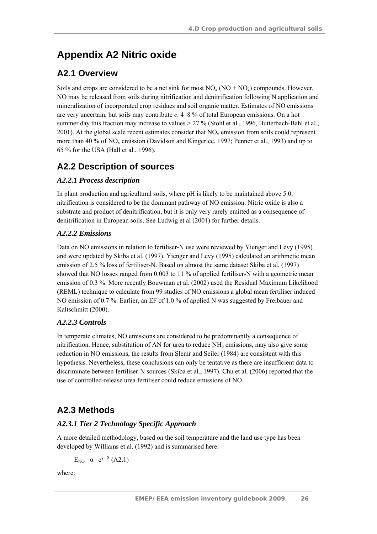# **Appendix A2 Nitric oxide**

## **A2.1 Overview**

Soils and crops are considered to be a net sink for most  $NO<sub>x</sub> (NO + NO<sub>2</sub>)$  compounds. However, NO may be released from soils during nitrification and denitrification following N application and mineralization of incorporated crop residues and soil organic matter. Estimates of NO emissions are very uncertain, but soils may contribute *c*. 4–8 % of total European emissions. On a hot summer day this fraction may increase to values > 27 % (Stohl et al., 1996, Butterbach-Bahl et al., 2001). At the global scale recent estimates consider that  $NO<sub>x</sub>$  emission from soils could represent more than 40 % of  $NO<sub>x</sub>$  emission (Davidson and Kingerlee, 1997; Penner et al., 1993) and up to 65 % for the USA (Hall et al., 1996).

## **A2.2 Description of sources**

### *A2.2.1 Process description*

In plant production and agricultural soils, where pH is likely to be maintained above 5.0, nitrification is considered to be the dominant pathway of NO emission. Nitric oxide is also a substrate and product of denitrification, but it is only very rarely emitted as a consequence of denitrification in European soils. See Ludwig et al (2001) for further details.

### *A2.2.2 Emissions*

Data on NO emissions in relation to fertiliser-N use were reviewed by Yienger and Levy (1995) and were updated by Skiba et al. (1997). Yienger and Levy (1995) calculated an arithmetic mean emission of 2.5 % loss of fertiliser-N. Based on almost the same dataset Skiba et al. (1997) showed that NO losses ranged from 0.003 to 11 % of applied fertiliser-N with a geometric mean emission of 0.3 %. More recently Bouwman et al. (2002) used the Residual Maximum Likelihood (REML) technique to calculate from 99 studies of NO emissions a global mean fertiliser induced NO emission of 0.7 %. Earlier, an EF of 1.0 % of applied N was suggested by Freibauer and Kaltschmitt (2000).

### *A2.2.3 Controls*

In temperate climates, NO emissions are considered to be predominantly a consequence of nitrification. Hence, substitution of AN for urea to reduce  $NH<sub>3</sub>$  emissions, may also give some reduction in NO emissions, the results from Slemr and Seiler (1984) are consistent with this hypothesis. Nevertheless, these conclusions can only be tentative as there are insufficient data to discriminate between fertiliser-N sources (Skiba et al., 1997). Chu et al. (2006) reported that the use of controlled-release urea fertiliser could reduce emissions of NO.

## **A2.3 Methods**

### *A2.3.1 Tier 2 Technology Specific Approach*

A more detailed methodology, based on the soil temperature and the land use type has been developed by Williams et al. (1992) and is summarised here.

 $E_{\text{NO}} = \alpha \cdot e^{\zeta \cdot ts}$  (A2.1)

where: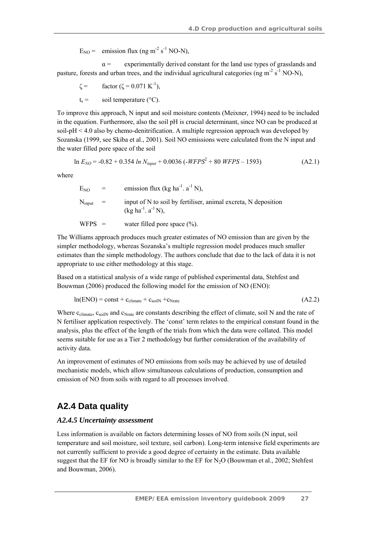$E_{NO}$  = emission flux (ng m<sup>-2</sup> s<sup>-1</sup> NO-N),

 $\alpha$  = experimentally derived constant for the land use types of grasslands and pasture, forests and urban trees, and the individual agricultural categories (ng m<sup>-2</sup> s<sup>-1</sup> NO-N),

 $\zeta = \arctan (\zeta = 0.071 \text{ K}^{-1}),$  $t_s$  = soil temperature (°C).

To improve this approach, N input and soil moisture contents (Meixner, 1994) need to be included in the equation. Furthermore, also the soil pH is crucial determinant, since NO can be produced at soil-pH < 4.0 also by chemo-denitrification. A multiple regression approach was developed by Sozanska (1999, see Skiba et al., 2001). Soil NO emissions were calculated from the N input and the water filled pore space of the soil

$$
\ln E_{NO} = -0.82 + 0.354 \ln N_{input} + 0.0036 \left( -WFPS^2 + 80 \, WFPS - 1593 \right) \tag{A2.1}
$$

where

| E <sub>NO</sub><br>$=$ | emission flux (kg ha <sup>-1</sup> . a <sup>-1</sup> N),                                                       |
|------------------------|----------------------------------------------------------------------------------------------------------------|
| $N_{input}$ =          | input of N to soil by fertiliser, animal excreta, N deposition<br>$(\text{kg ha}^{-1} \cdot a^{-1} \text{N}),$ |
| $WFPS =$               | water filled pore space $(\%).$                                                                                |

The Williams approach produces much greater estimates of NO emission than are given by the simpler methodology, whereas Sozanska's multiple regression model produces much smaller estimates than the simple methodology. The authors conclude that due to the lack of data it is not appropriate to use either methodology at this stage.

Based on a statistical analysis of a wide range of published experimental data, Stehfest and Bouwman (2006) produced the following model for the emission of NO (ENO):

$$
ln(ENO) = const + c_{climate} + c_{soilN} + c_{Nrate}
$$
\n(A2.2)

Where  $c_{\text{climate}}$ ,  $c_{\text{solid}}$  and  $c_{\text{Nrate}}$  are constants describing the effect of climate, soil N and the rate of N fertiliser application respectively. The 'const' term relates to the empirical constant found in the analysis, plus the effect of the length of the trials from which the data were collated. This model seems suitable for use as a Tier 2 methodology but further consideration of the availability of activity data.

An improvement of estimates of NO emissions from soils may be achieved by use of detailed mechanistic models, which allow simultaneous calculations of production, consumption and emission of NO from soils with regard to all processes involved.

### **A2.4 Data quality**

#### *A2.4.5 Uncertainty assessment*

Less information is available on factors determining losses of NO from soils (N input, soil temperature and soil moisture, soil texture, soil carbon). Long-term intensive field experiments are not currently sufficient to provide a good degree of certainty in the estimate. Data available suggest that the EF for NO is broadly similar to the EF for  $N_2O$  (Bouwman et al., 2002; Stehfest and Bouwman, 2006).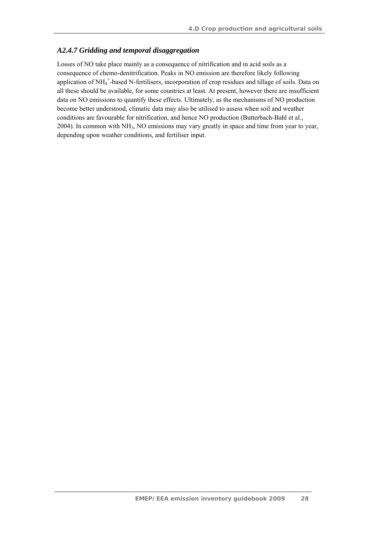#### *A2.4.7 Gridding and temporal disaggregation*

Losses of NO take place mainly as a consequence of nitrification and in acid soils as a consequence of chemo-denitrification. Peaks in NO emission are therefore likely following application of NH<sub>4</sub><sup>+</sup>-based N-fertilisers, incorporation of crop residues and tillage of soils. Data on all these should be available, for some countries at least. At present, however there are insufficient data on NO emissions to quantify these effects. Ultimately, as the mechanisms of NO production become better understood, climatic data may also be utilised to assess when soil and weather conditions are favourable for nitrification, and hence NO production (Butterbach-Bahl et al., 2004). In common with  $NH_3$ , NO emissions may vary greatly in space and time from year to year, depending upon weather conditions, and fertiliser input.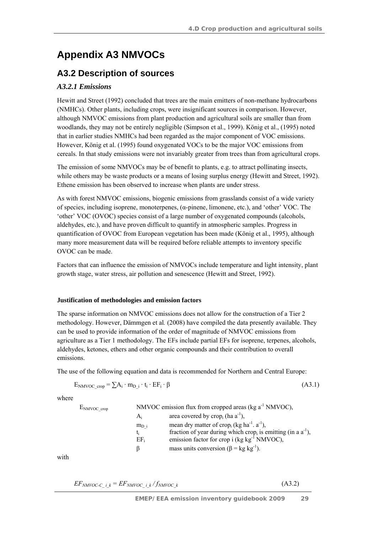# **Appendix A3 NMVOCs**

### **A3.2 Description of sources**

### *A3.2.1 Emissions*

Hewitt and Street (1992) concluded that trees are the main emitters of non-methane hydrocarbons (NMHCs). Other plants, including crops, were insignificant sources in comparison. However, although NMVOC emissions from plant production and agricultural soils are smaller than from woodlands, they may not be entirely negligible (Simpson et al., 1999). König et al., (1995) noted that in earlier studies NMHCs had been regarded as the major component of VOC emissions. However, König et al. (1995) found oxygenated VOCs to be the major VOC emissions from cereals. In that study emissions were not invariably greater from trees than from agricultural crops.

The emission of some NMVOCs may be of benefit to plants, e.g. to attract pollinating insects, while others may be waste products or a means of losing surplus energy (Hewitt and Street, 1992). Ethene emission has been observed to increase when plants are under stress.

As with forest NMVOC emissions, biogenic emissions from grasslands consist of a wide variety of species, including isoprene, monoterpenes, (α-pinene, limonene, etc.), and 'other' VOC. The 'other' VOC (OVOC) species consist of a large number of oxygenated compounds (alcohols, aldehydes, etc.), and have proven difficult to quantify in atmospheric samples. Progress in quantification of OVOC from European vegetation has been made (König et al., 1995), although many more measurement data will be required before reliable attempts to inventory specific OVOC can be made.

Factors that can influence the emission of NMVOCs include temperature and light intensity, plant growth stage, water stress, air pollution and senescence (Hewitt and Street, 1992).

#### **Justification of methodologies and emission factors**

The sparse information on NMVOC emissions does not allow for the construction of a Tier 2 methodology. However, Dämmgen et al*.* (2008) have compiled the data presently available. They can be used to provide information of the order of magnitude of NMVOC emissions from agriculture as a Tier 1 methodology. The EFs include partial EFs for isoprene, terpenes, alcohols, aldehydes, ketones, ethers and other organic compounds and their contribution to overall emissions.

The use of the following equation and data is recommended for Northern and Central Europe:

$$
E_{NMVOC\_crop} = \sum A_i \cdot m_{D_i} \cdot t_i \cdot EF_i \cdot \beta \tag{A3.1}
$$

where

| $E_{NMVOC}$ crop |                           | NMVOC emission flux from cropped areas (kg $a^{-1}$ NMVOC),                                                                                                                                                                                                                                     |
|------------------|---------------------------|-------------------------------------------------------------------------------------------------------------------------------------------------------------------------------------------------------------------------------------------------------------------------------------------------|
|                  | $A_i$                     | area covered by $\text{crop}_i$ (ha a <sup>-1</sup> ),                                                                                                                                                                                                                                          |
|                  | $m_{D,i}$<br>t:<br>$EF_i$ | mean dry matter of crop <sub>i</sub> (kg ha <sup>-1</sup> . a <sup>-1</sup> ),<br>fraction of year during which crop <sub>i</sub> is emitting (in a $a^{-1}$ ),<br>emission factor for crop i $(\text{kg kg}^{-1} \text{ NMVOC})$ ,<br>mass units conversion ( $\beta$ = kg kg <sup>-1</sup> ). |

with

| $EF_{NMVOC-C}$ i $_k = EF_{NMVOC}$ i $k/f_{NMVOC}$ k | (A3.2) |
|------------------------------------------------------|--------|
|------------------------------------------------------|--------|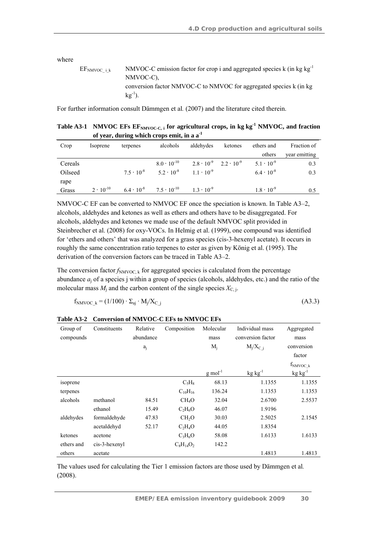where

| EF <sub>NMVOC i k</sub> | NMVOC-C emission factor for crop i and aggregated species $k$ (in kg kg <sup>-1</sup> ) |
|-------------------------|-----------------------------------------------------------------------------------------|
|                         | NMVOC-C).                                                                               |
|                         | conversion factor NMVOC-C to NMVOC for aggregated species k (in kg)                     |
|                         | $kg^{-1}$ ).                                                                            |

For further information consult Dämmgen et al*.* (2007) and the literature cited therein.

Table A3-1 NMVOC EFs EF<sub>NMVOC-C, i</sub> for agricultural crops, in kg kg<sup>-1</sup> NMVOC, and fraction **of year, during which crops emit, in a a-1**

| Crop    | Isoprene           | terpenes            | alcohols                                 | aldehydes                               | ketones | ethers and          | Fraction of   |
|---------|--------------------|---------------------|------------------------------------------|-----------------------------------------|---------|---------------------|---------------|
|         |                    |                     |                                          |                                         |         | others              | year emitting |
| Cereals |                    |                     | $8.0 \cdot 10^{-10}$                     | $2.8 \cdot 10^{-9}$ $2.2 \cdot 10^{-9}$ |         | $5.1 \cdot 10^{-9}$ | 0.3           |
| Oilseed |                    | $7.5 \cdot 10^{-8}$ | $5.2 \cdot 10^{-8}$                      | $11 \cdot 10^{-9}$                      |         | $6.4 \cdot 10^{-8}$ | 0.3           |
| rape    |                    |                     |                                          |                                         |         |                     |               |
| Grass   | $2 \cdot 10^{-10}$ |                     | $6.4 \cdot 10^{-8}$ $7.5 \cdot 10^{-10}$ | $13 \cdot 10^{-9}$                      |         | $1.8 \cdot 10^{-9}$ | 0.5           |

NMVOC-C EF can be converted to NMVOC EF once the speciation is known. In Table A3–2, alcohols, aldehydes and ketones as well as ethers and others have to be disaggregated. For alcohols, aldehydes and ketones we made use of the default NMVOC split provided in Steinbrecher et al. (2008) for oxy-VOCs. In Helmig et al. (1999), one compound was identified for 'ethers and others' that was analyzed for a grass species (cis-3-hexenyl acetate). It occurs in roughly the same concentration ratio terpenes to ester as given by König et al. (1995). The derivation of the conversion factors can be traced in Table A3–2.

The conversion factor  $f_{\text{NMVOC},k}$  for aggregated species is calculated from the percentage abundance *a*j of a species j within a group of species (alcohols, aldehydes, etc.) and the ratio of the molecular mass  $M_i$  and the carbon content of the single species  $X_{C,i}$ .

$$
f_{NMVOC~k} = (1/100) \cdot \Sigma_{aj} \cdot M_j/X_{C~j}
$$
\n(A3.3)

| Group of        | Constituents  | Relative  | Composition       | Molecular             | Individual mass   | Aggregated    |
|-----------------|---------------|-----------|-------------------|-----------------------|-------------------|---------------|
| compounds       |               | abundance |                   | mass                  | conversion factor | mass          |
|                 |               | $a_i$     |                   | $M_j$                 | $M_i/X_C$ i       | conversion    |
|                 |               |           |                   |                       |                   | factor        |
|                 |               |           |                   |                       |                   | $f_{NNVOC_k}$ |
|                 |               |           |                   | $g$ mol <sup>-1</sup> | $kg kg^{-1}$      | $kg kg^{-1}$  |
| <i>s</i> oprene |               |           | $C_5H_8$          | 68.13                 | 1.1355            | 1.1355        |
| terpenes        |               |           | $C_{10}H_{16}$    | 136.24                | 1.1353            | 1.1353        |
| alcohols        | methanol      | 84.51     | CH <sub>4</sub> O | 32.04                 | 2.6700            | 2.5537        |
|                 | ethanol       | 15.49     | $C_2H_6O$         | 46.07                 | 1.9196            |               |
| aldehydes       | formaldehyde  | 47.83     | CH <sub>2</sub> O | 30.03                 | 2.5025            | 2.1545        |
|                 | acetaldehyd   | 52.17     | $C_2H_4O$         | 44.05                 | 1.8354            |               |
| ketones         | acetone       |           | $C_3H_6O$         | 58.08                 | 1.6133            | 1.6133        |
| ethers and      | cis-3-hexenyl |           | $C_8H_{14}O_2$    | 142.2                 |                   |               |
| others          | acetate       |           |                   |                       | 1.4813            | 1.4813        |

**Table A3-2 Conversion of NMVOC-C EFs to NMVOC EFs** 

The values used for calculating the Tier 1 emission factors are those used by Dämmgen et al*.* (2008).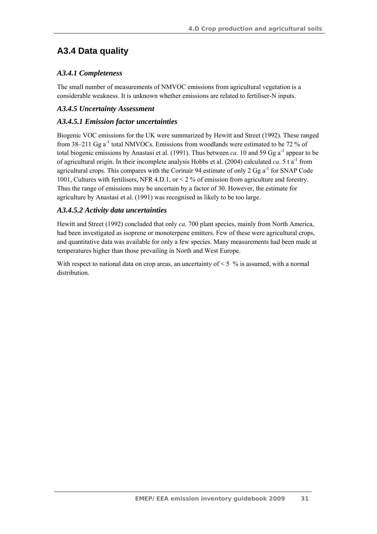## **A3.4 Data quality**

### *A3.4.1 Completeness*

The small number of measurements of NMVOC emissions from agricultural vegetation is a considerable weakness. It is unknown whether emissions are related to fertiliser-N inputs.

### *A3.4.5 Uncertainty Assessment*

#### *A3.4.5.1 Emission factor uncertainties*

Biogenic VOC emissions for the UK were summarized by Hewitt and Street (1992). These ranged from  $38-211$  Gg a<sup>-1</sup> total NMVOCs. Emissions from woodlands were estimated to be 72 % of total biogenic emissions by Anastasi et al. (1991). Thus between *ca*. 10 and 59 Gg  $a^{-1}$  appear to be of agricultural origin. In their incomplete analysis Hobbs et al. (2004) calculated *ca*. 5 t  $a^{-1}$  from agricultural crops. This compares with the Corinair 94 estimate of only 2 Gg  $a^{-1}$  for SNAP Code 1001, Cultures with fertilisers, NFR 4.D.1, or < 2 % of emission from agriculture and forestry. Thus the range of emissions may be uncertain by a factor of 30. However, the estimate for agriculture by Anastasi et al. (1991) was recognised as likely to be too large.

#### *A3.4.5.2 Activity data uncertainties*

Hewitt and Street (1992) concluded that only *ca.* 700 plant species, mainly from North America, had been investigated as isoprene or monoterpene emitters. Few of these were agricultural crops, and quantitative data was available for only a few species. Many measurements had been made at temperatures higher than those prevailing in North and West Europe.

With respect to national data on crop areas, an uncertainty of  $\leq 5$  % is assumed, with a normal distribution.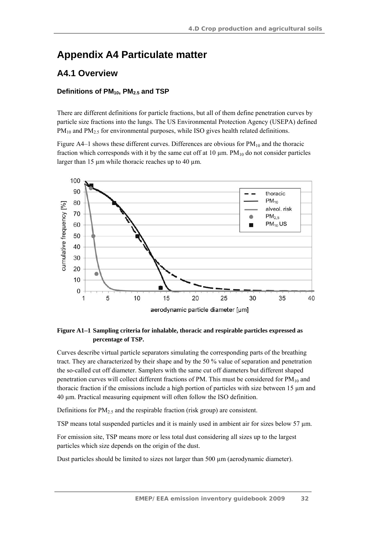## **Appendix A4 Particulate matter**

### **A4.1 Overview**

#### Definitions of PM<sub>10</sub>, PM<sub>2.5</sub> and TSP

There are different definitions for particle fractions, but all of them define penetration curves by particle size fractions into the lungs. The US Environmental Protection Agency (USEPA) defined  $PM_{10}$  and  $PM_{2.5}$  for environmental purposes, while ISO gives health related definitions.

Figure A4–1 shows these different curves. Differences are obvious for  $PM_{10}$  and the thoracic fraction which corresponds with it by the same cut off at  $10 \mu m$ . PM $_{10}$  do not consider particles larger than 15  $\mu$ m while thoracic reaches up to 40  $\mu$ m.



#### **Figure A1–1 Sampling criteria for inhalable, thoracic and respirable particles expressed as percentage of TSP.**

Curves describe virtual particle separators simulating the corresponding parts of the breathing tract. They are characterized by their shape and by the 50 % value of separation and penetration the so-called cut off diameter. Samplers with the same cut off diameters but different shaped penetration curves will collect different fractions of PM. This must be considered for  $PM_{10}$  and thoracic fraction if the emissions include a high portion of particles with size between 15 µm and 40 µm. Practical measuring equipment will often follow the ISO definition.

Definitions for  $PM<sub>2.5</sub>$  and the respirable fraction (risk group) are consistent.

TSP means total suspended particles and it is mainly used in ambient air for sizes below 57  $\mu$ m.

For emission site, TSP means more or less total dust considering all sizes up to the largest particles which size depends on the origin of the dust.

Dust particles should be limited to sizes not larger than 500  $\mu$ m (aerodynamic diameter).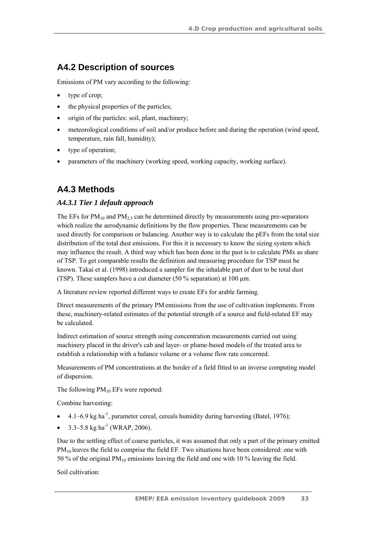## **A4.2 Description of sources**

Emissions of PM vary according to the following:

- type of crop;
- the physical properties of the particles;
- origin of the particles: soil, plant, machinery;
- meteorological conditions of soil and/or produce before and during the operation (wind speed, temperature, rain fall, humidity);
- type of operation;
- parameters of the machinery (working speed, working capacity, working surface).

## **A4.3 Methods**

### *A4.3.1 Tier 1 default approach*

The EFs for  $PM_{10}$  and  $PM_{2.5}$  can be determined directly by measurements using pre-separators which realize the aerodynamic definitions by the flow properties. These measurements can be used directly for comparison or balancing. Another way is to calculate the pEFs from the total size distribution of the total dust emissions. For this it is necessary to know the sizing system which may influence the result. A third way which has been done in the past is to calculate PMx as share of TSP. To get comparable results the definition and measuring procedure for TSP must be known. Takai et al. (1998) introduced a sampler for the inhalable part of dust to be total dust (TSP). These samplers have a cut diameter (50 % separation) at 100 µm.

A literature review reported different ways to create EFs for arable farming.

Direct measurements of the primary PM emissions from the use of cultivation implements. From these, machinery-related estimates of the potential strength of a source and field-related EF may be calculated.

Indirect estimation of source strength using concentration measurements carried out using machinery placed in the driver's cab and layer- or plume-based models of the treated area to establish a relationship with a balance volume or a volume flow rate concerned.

Measurements of PM concentrations at the border of a field fitted to an inverse computing model of dispersion.

The following  $PM_{10}$  EFs were reported:

Combine harvesting:

- $4.1-6.9$  kg ha<sup>-1</sup>, parameter cereal, cereals humidity during harvesting (Batel, 1976);
- 3.3–5.8 kg ha<sup>-1</sup> (WRAP, 2006).

Due to the settling effect of coarse particles, it was assumed that only a part of the primary emitted  $PM_{10}$  leaves the field to comprise the field EF. Two situations have been considered: one with 50 % of the original PM10 emissions leaving the field and one with 10 % leaving the field.

Soil cultivation: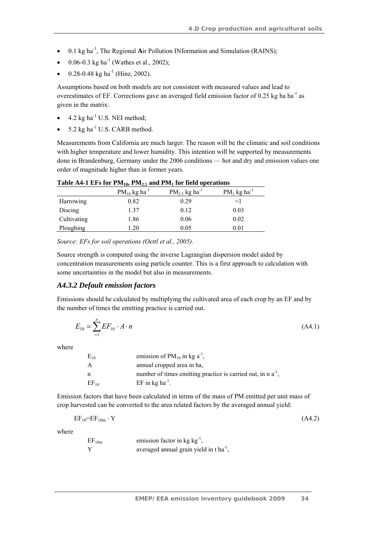- 0.1 kg ha<sup>-1</sup>, The Regional Air Pollution INformation and Simulation (RAINS);
- 0.06-0.3 kg ha<sup>-1</sup> (Wathes et al., 2002);
- 0.28-0.48 kg ha<sup>-1</sup> (Hinz, 2002).

Assumptions based on both models are not consistent with measured values and lead to overestimates of EF. Corrections gave an averaged field emission factor of 0.25 kg ha ha<sup>-1</sup> as given in the matrix:

- $\bullet$  4.2 kg ha<sup>-1</sup> U.S. NEI method;
- 5.2 kg ha $^{-1}$  U.S. CARB method.

Measurements from California are much larger. The reason will be the climatic and soil conditions with higher temperature and lower humidity. This intention will be supported by measurements done in Brandenburg, Germany under the 2006 conditions — hot and dry and emission values one order of magnitude higher than in former years.

|             | $-107 - -207$                 |                                |                            |  |  |  |  |
|-------------|-------------------------------|--------------------------------|----------------------------|--|--|--|--|
|             | $PM_{10}$ kg ha <sup>-1</sup> | $PM_{2.5}$ kg ha <sup>-1</sup> | $PM_1$ kg ha <sup>-1</sup> |  |  |  |  |
| Harrowing   | 0.82                          | 0.29                           | $\leq$ 1                   |  |  |  |  |
| Discing     | 1.37                          | 0.12                           | 0.03                       |  |  |  |  |
| Cultivating | 1.86                          | 0.06                           | 0.02                       |  |  |  |  |
| Ploughing   | .20                           | 0.05                           | $0.01\,$                   |  |  |  |  |

**Table A4-1 EFs for PM10, PM2.5 and PM1 for field operations** 

*Source: EFs for soil operations (Oettl et al., 2005).* 

Source strength is computed using the inverse Lagrangian dispersion model aided by concentration measurements using particle counter. This is a first approach to calculation with some uncertainties in the model but also in measurements.

#### *A4.3.2 Default emission factors*

Emissions should be calculated by multiplying the cultivated area of each crop by an EF and by the number of times the emitting practice is carried out.

$$
E_{10} = \sum_{n=1}^{n} EF_{10} \cdot A \cdot n \tag{A4.1}
$$

where

| $E_{10}$  | emission of $PM_{10}$ in kg a <sup>-1</sup> ,                     |
|-----------|-------------------------------------------------------------------|
| A         | annual cropped area in ha,                                        |
| n         | number of times emitting practice is carried out, in $n a^{-1}$ , |
| $EF_{10}$ | EF in $kg$ ha <sup>-1</sup> .                                     |

Emission factors that have been calculated in terms of the mass of PM emitted per unit mass of crop harvested can be converted to the area related factors by the averaged annual yield:

$$
EF_{10}=EF_{10m} \cdot Y \tag{A4.2}
$$

where

 $EF_{10m}$  emission factor in kg kg<sup>-1</sup>, *Y averaged annual grain yield in t ha*<sup>-1</sup>,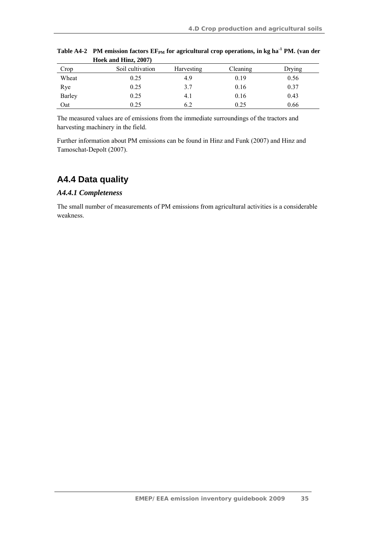|        | $1100K$ and $110L$ , $200T$ |            |          |        |
|--------|-----------------------------|------------|----------|--------|
| Crop   | Soil cultivation            | Harvesting | Cleaning | Drying |
| Wheat  | 0.25                        | 4.9        | 0.19     | 0.56   |
| Rye    | 0.25                        | 3.7        | 0.16     | 0.37   |
| Barley | 0.25                        | 4. 1       | 0.16     | 0.43   |
| Oat    | 0.25                        | 6.2        | 0.25     | 0.66   |

Table A4-2 PM emission factors  $EF_{PM}$  for agricultural crop operations, in kg ha<sup>-1</sup> PM. (van der **Hoek and Hinz, 2007)** 

The measured values are of emissions from the immediate surroundings of the tractors and harvesting machinery in the field.

Further information about PM emissions can be found in Hinz and Funk (2007) and Hinz and Tamoschat-Depolt (2007).

## **A4.4 Data quality**

#### *A4.4.1 Completeness*

The small number of measurements of PM emissions from agricultural activities is a considerable weakness.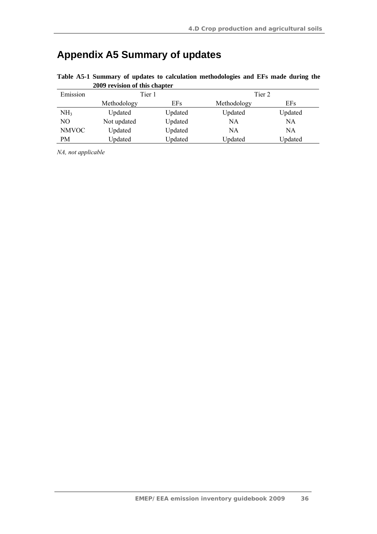# **Appendix A5 Summary of updates**

| <b><i>LOOP revision of this chapter</i></b> |             |         |             |         |
|---------------------------------------------|-------------|---------|-------------|---------|
| Emission                                    | Tier 1      |         | Tier 2      |         |
|                                             | Methodology | EFs     | Methodology | EFs     |
| NH <sub>3</sub>                             | Updated     | Updated | Updated     | Updated |
| NO                                          | Not updated | Updated | NA          | NA      |
| <b>NMVOC</b>                                | Updated     | Updated | NA          | NA      |
| PM                                          | Updated     | Updated | Updated     | Updated |

**Table A5-1 Summary of updates to calculation methodologies and EFs made during the 2009 revision of this chapter** 

*NA, not applicable*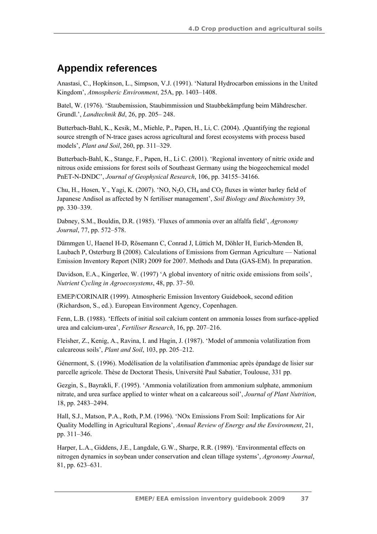## **Appendix references**

Anastasi, C., Hopkinson, L., Simpson, V.J. (1991). 'Natural Hydrocarbon emissions in the United Kingdom', *Atmospheric Environment*, 25A, pp. 1403–1408.

Batel, W. (1976). 'Staubemission, Staubimmission und Staubbekämpfung beim Mähdrescher. Grundl.', *Landtechnik Bd*, 26, pp. 205– 248.

Butterbach-Bahl, K., Kesik, M., Miehle, P., Papen, H., Li, C. (2004). Quantifying the regional source strength of N-trace gases across agricultural and forest ecosystems with process based models', *Plant and Soil*, 260, pp. 311–329.

Butterbach-Bahl, K., Stange, F., Papen, H., Li C. (2001). 'Regional inventory of nitric oxide and nitrous oxide emissions for forest soils of Southeast Germany using the biogeochemical model PnET-N-DNDC', *Journal of Geophysical Research*, 106, pp. 34155–34166.

Chu, H., Hosen, Y., Yagi, K. (2007). 'NO, N<sub>2</sub>O, CH<sub>4</sub> and CO<sub>2</sub> fluxes in winter barley field of Japanese Andisol as affected by N fertiliser management', *Soil Biology and Biochemistry* 39, pp. 330–339.

Dabney, S.M., Bouldin, D.R. (1985). 'Fluxes of ammonia over an alfalfa field', *Agronomy Journal*, 77, pp. 572–578.

Dämmgen U, Haenel H-D, Rösemann C, Conrad J, Lüttich M, Döhler H, Eurich-Menden B, Laubach P, Osterburg B (2008). Calculations of Emissions from German Agriculture — National Emission Inventory Report (NIR) 2009 for 2007. Methods and Data (GAS-EM). In preparation.

Davidson, E.A., Kingerlee, W. (1997) 'A global inventory of nitric oxide emissions from soils', *Nutrient Cycling in Agroecosystems*, 48, pp. 37–50.

EMEP/CORINAIR (1999). Atmospheric Emission Inventory Guidebook, second edition (Richardson, S., ed.). European Environment Agency, Copenhagen.

Fenn, L.B. (1988). 'Effects of initial soil calcium content on ammonia losses from surface-applied urea and calcium-urea', *Fertiliser Research*, 16, pp. 207–216.

Fleisher, Z., Kenig, A., Ravina, I. and Hagin, J. (1987). 'Model of ammonia volatilization from calcareous soils', *Plant and Soil*, 103, pp. 205–212.

Génermont, S. (1996). Modélisation de la volatilisation d'ammoniac après épandage de lisier sur parcelle agricole. Thèse de Doctorat Thesis, Université Paul Sabatier, Toulouse, 331 pp.

Gezgin, S., Bayrakli, F. (1995). 'Ammonia volatilization from ammonium sulphate, ammonium nitrate, and urea surface applied to winter wheat on a calcareous soil', *Journal of Plant Nutrition*, 18, pp. 2483–2494.

Hall, S.J., Matson, P.A., Roth, P.M. (1996). 'NOx Emissions From Soil: Implications for Air Quality Modelling in Agricultural Regions', *Annual Review of Energy and the Environment*, 21, pp. 311–346.

Harper, L.A., Giddens, J.E., Langdale, G.W., Sharpe, R.R. (1989). 'Environmental effects on nitrogen dynamics in soybean under conservation and clean tillage systems', *Agronomy Journal*, 81, pp. 623–631.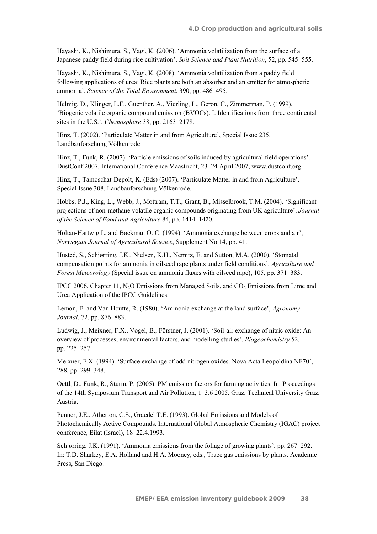Hayashi, K., Nishimura, S., Yagi, K. (2006). 'Ammonia volatilization from the surface of a Japanese paddy field during rice cultivation', *Soil Science and Plant Nutrition*, 52, pp. 545–555.

Hayashi, K., Nishimura, S., Yagi, K. (2008). 'Ammonia volatilization from a paddy field following applications of urea: Rice plants are both an absorber and an emitter for atmospheric ammonia', *Science of the Total Environment*, 390, pp. 486–495.

Helmig, D., Klinger, L.F., Guenther, A., Vierling, L., Geron, C., Zimmerman, P. (1999). 'Biogenic volatile organic compound emission (BVOCs). I. Identifications from three continental sites in the U.S.', *Chemosphere* 38, pp. 2163–2178.

Hinz, T. (2002). 'Particulate Matter in and from Agriculture', Special Issue 235. Landbauforschung Völkenrode

Hinz, T., Funk, R. (2007). 'Particle emissions of soils induced by agricultural field operations'. DustConf 2007, International Conference Maastricht, 23–24 April 2007, www.dustconf.org.

Hinz, T., Tamoschat-Depolt, K. (Eds) (2007). 'Particulate Matter in and from Agriculture'. Special Issue 308. Landbauforschung Völkenrode.

Hobbs, P.J., King, L., Webb, J., Mottram, T.T., Grant, B., Misselbrook, T.M. (2004). 'Significant projections of non-methane volatile organic compounds originating from UK agriculture', *Journal of the Science of Food and Agriculture* 84, pp. 1414–1420.

Holtan-Hartwig L. and Bøckman O. C. (1994). 'Ammonia exchange between crops and air', *Norwegian Journal of Agricultural Science*, Supplement No 14, pp. 41.

Husted, S., Schjørring, J.K., Nielsen, K.H., Nemitz, E. and Sutton, M.A. (2000). 'Stomatal compensation points for ammonia in oilseed rape plants under field conditions', *Agriculture and Forest Meteorology* (Special issue on ammonia fluxes with oilseed rape), 105, pp. 371–383.

IPCC 2006. Chapter 11,  $N_2O$  Emissions from Managed Soils, and  $CO<sub>2</sub>$  Emissions from Lime and Urea Application of the IPCC Guidelines.

Lemon, E. and Van Houtte, R. (1980). 'Ammonia exchange at the land surface', *Agronomy Journal*, 72, pp. 876–883.

Ludwig, J., Meixner, F.X., Vogel, B., Förstner, J. (2001). 'Soil-air exchange of nitric oxide: An overview of processes, environmental factors, and modelling studies', *Biogeochemistry* 52, pp. 225–257.

Meixner, F.X. (1994). 'Surface exchange of odd nitrogen oxides. Nova Acta Leopoldina NF70', 288, pp. 299–348.

Oettl, D., Funk, R., Sturm, P. (2005). PM emission factors for farming activities. In: Proceedings of the 14th Symposium Transport and Air Pollution, 1–3.6 2005, Graz, Technical University Graz, Austria.

Penner, J.E., Atherton, C.S., Graedel T.E. (1993). Global Emissions and Models of Photochemically Active Compounds. International Global Atmospheric Chemistry (IGAC) project conference, Eilat (Israel), 18–22.4.1993.

Schjørring, J.K. (1991). 'Ammonia emissions from the foliage of growing plants', pp. 267–292. In: T.D. Sharkey, E.A. Holland and H.A. Mooney, eds., Trace gas emissions by plants. Academic Press, San Diego.